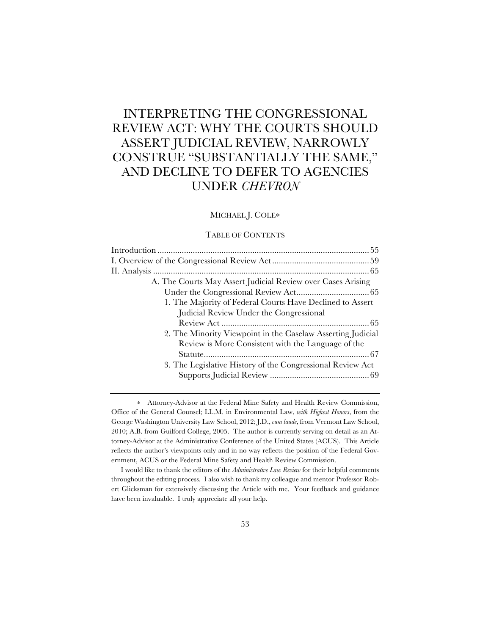# INTERPRETING THE CONGRESSIONAL REVIEW ACT: WHY THE COURTS SHOULD ASSERT JUDICIAL REVIEW, NARROWLY CONSTRUE "SUBSTANTIALLY THE SAME," AND DECLINE TO DEFER TO AGENCIES UNDER *CHEVRON*

### MICHAEL J. COLE∗

### TABLE OF CONTENTS

| A. The Courts May Assert Judicial Review over Cases Arising |  |
|-------------------------------------------------------------|--|
|                                                             |  |
| 1. The Majority of Federal Courts Have Declined to Assert   |  |
| Judicial Review Under the Congressional                     |  |
|                                                             |  |
| 2. The Minority Viewpoint in the Caselaw Asserting Judicial |  |
| Review is More Consistent with the Language of the          |  |
|                                                             |  |
|                                                             |  |
| 3. The Legislative History of the Congressional Review Act  |  |
|                                                             |  |

∗ Attorney-Advisor at the Federal Mine Safety and Health Review Commission, Office of the General Counsel; LL.M. in Environmental Law, *with Highest Honors*, from the George Washington University Law School, 2012; J.D., *cum laude*, from Vermont Law School, 2010; A.B. from Guilford College, 2005. The author is currently serving on detail as an Attorney-Advisor at the Administrative Conference of the United States (ACUS). This Article reflects the author's viewpoints only and in no way reflects the position of the Federal Government, ACUS or the Federal Mine Safety and Health Review Commission.

I would like to thank the editors of the *Administrative Law Review* for their helpful comments throughout the editing process. I also wish to thank my colleague and mentor Professor Robert Glicksman for extensively discussing the Article with me. Your feedback and guidance have been invaluable. I truly appreciate all your help.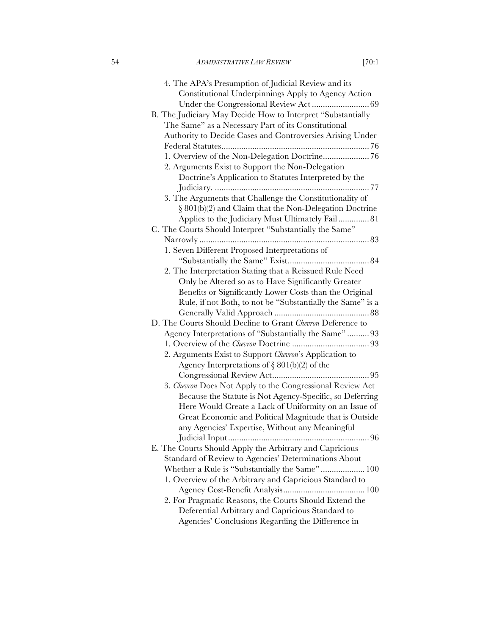| 4. The APA's Presumption of Judicial Review and its         |
|-------------------------------------------------------------|
| Constitutional Underpinnings Apply to Agency Action         |
|                                                             |
| B. The Judiciary May Decide How to Interpret "Substantially |
| The Same" as a Necessary Part of its Constitutional         |
| Authority to Decide Cases and Controversies Arising Under   |
|                                                             |
| 1. Overview of the Non-Delegation Doctrine 76               |
| 2. Arguments Exist to Support the Non-Delegation            |
| Doctrine's Application to Statutes Interpreted by the       |
|                                                             |
| 3. The Arguments that Challenge the Constitutionality of    |
| $\S 801(b)(2)$ and Claim that the Non-Delegation Doctrine   |
| Applies to the Judiciary Must Ultimately Fail 81            |
| C. The Courts Should Interpret "Substantially the Same"     |
|                                                             |
| 1. Seven Different Proposed Interpretations of              |
|                                                             |
| 2. The Interpretation Stating that a Reissued Rule Need     |
| Only be Altered so as to Have Significantly Greater         |
| Benefits or Significantly Lower Costs than the Original     |
| Rule, if not Both, to not be "Substantially the Same" is a  |
|                                                             |
| D. The Courts Should Decline to Grant Chevron Deference to  |
| Agency Interpretations of "Substantially the Same"  93      |
|                                                             |
| 2. Arguments Exist to Support Chevron's Application to      |
| Agency Interpretations of $\S 801(b)(2)$ of the             |
|                                                             |
| 3. Chevron Does Not Apply to the Congressional Review Act   |
| Because the Statute is Not Agency-Specific, so Deferring    |
| Here Would Create a Lack of Uniformity on an Issue of       |
| Great Economic and Political Magnitude that is Outside      |
| any Agencies' Expertise, Without any Meaningful             |
| 96                                                          |
| E. The Courts Should Apply the Arbitrary and Capricious     |
| Standard of Review to Agencies' Determinations About        |
| Whether a Rule is "Substantially the Same" 100              |
| 1. Overview of the Arbitrary and Capricious Standard to     |
|                                                             |
| 2. For Pragmatic Reasons, the Courts Should Extend the      |
| Deferential Arbitrary and Capricious Standard to            |
| Agencies' Conclusions Regarding the Difference in           |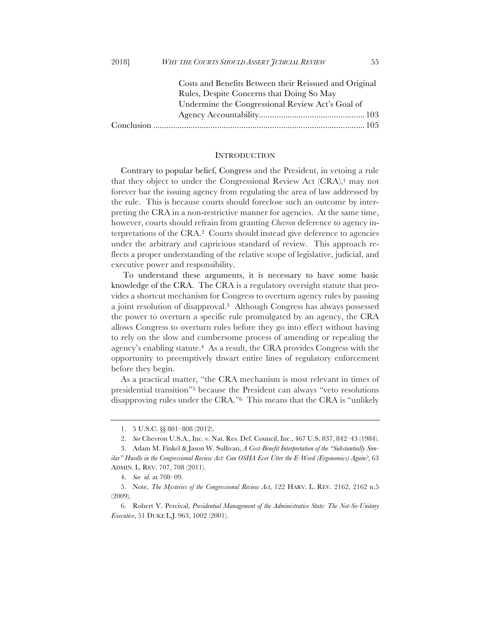| Costs and Benefits Between their Reissued and Original |
|--------------------------------------------------------|
| Rules, Despite Concerns that Doing So May              |
| Undermine the Congressional Review Act's Goal of       |
|                                                        |
|                                                        |

#### INTRODUCTION

Contrary to popular belief, Congress and the President, in vetoing a rule that they object to under the Congressional Review Act (CRA),<sup>1</sup> may not forever bar the issuing agency from regulating the area of law addressed by the rule. This is because courts should foreclose such an outcome by interpreting the CRA in a non-restrictive manner for agencies. At the same time, however, courts should refrain from granting *Chevron* deference to agency interpretations of the CRA.2 Courts should instead give deference to agencies under the arbitrary and capricious standard of review. This approach reflects a proper understanding of the relative scope of legislative, judicial, and executive power and responsibility.

To understand these arguments, it is necessary to have some basic knowledge of the CRA. The CRA is a regulatory oversight statute that provides a shortcut mechanism for Congress to overturn agency rules by passing a joint resolution of disapproval.3 Although Congress has always possessed the power to overturn a specific rule promulgated by an agency, the CRA allows Congress to overturn rules before they go into effect without having to rely on the slow and cumbersome process of amending or repealing the agency's enabling statute.4 As a result, the CRA provides Congress with the opportunity to preemptively thwart entire lines of regulatory enforcement before they begin.

As a practical matter, "the CRA mechanism is most relevant in times of presidential transition"5 because the President can always "veto resolutions disapproving rules under the CRA."6 This means that the CRA is "unlikely

<sup>1.</sup> 5 U.S.C. §§ 801–808 (2012).

<sup>2.</sup> *See* Chevron U.S.A., Inc. v. Nat. Res. Def. Council, Inc., 467 U.S. 837, 842–43 (1984).

<sup>3.</sup> Adam M. Finkel & Jason W. Sullivan, *A Cost-Benefit Interpretation of the "Substantially Similar" Hurdle in the Congressional Review Act: Can OSHA Ever Utter the E-Word (Ergonomics) Again?*, 63 ADMIN. L. REV. 707, 708 (2011).

<sup>4.</sup> *See id.* at 708–09.

<sup>5.</sup> Note, *The Mysteries of the Congressional Review Act*, 122 HARV. L. REV. 2162, 2162 n.5 (2009).

<sup>6.</sup> Robert V. Percival, *Presidential Management of the Administrative State: The Not-So-Unitary Executive*, 51 DUKE L.J. 963, 1002 (2001).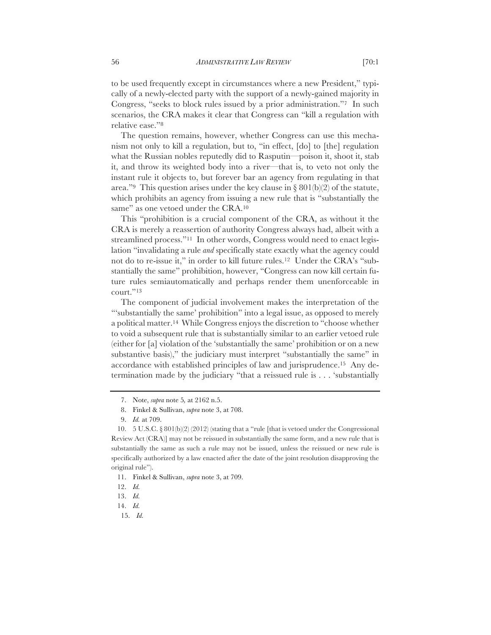relative ease."8 The question remains, however, whether Congress can use this mechanism not only to kill a regulation, but to, "in effect, [do] to [the] regulation what the Russian nobles reputedly did to Rasputin—poison it, shoot it, stab it, and throw its weighted body into a river—that is, to veto not only the instant rule it objects to, but forever bar an agency from regulating in that area."<sup>9</sup> This question arises under the key clause in  $\S 801(b)(2)$  of the statute, which prohibits an agency from issuing a new rule that is "substantially the same" as one vetoed under the CRA.<sup>10</sup>

This "prohibition is a crucial component of the CRA, as without it the CRA is merely a reassertion of authority Congress always had, albeit with a streamlined process."<sup>11</sup> In other words, Congress would need to enact legislation "invalidating a rule *and* specifically state exactly what the agency could not do to re-issue it," in order to kill future rules.12 Under the CRA's "substantially the same" prohibition, however, "Congress can now kill certain future rules semiautomatically and perhaps render them unenforceable in court."13

The component of judicial involvement makes the interpretation of the "'substantially the same' prohibition" into a legal issue, as opposed to merely a political matter.14 While Congress enjoys the discretion to "choose whether to void a subsequent rule that is substantially similar to an earlier vetoed rule (either for [a] violation of the 'substantially the same' prohibition or on a new substantive basis)," the judiciary must interpret "substantially the same" in accordance with established principles of law and jurisprudence.15 Any determination made by the judiciary "that a reissued rule is . . . 'substantially

15. *Id.*

<sup>7.</sup> Note, *supra* note 5*,* at 2162 n.5.

<sup>8.</sup> Finkel & Sullivan, *supra* note 3, at 708.

<sup>9.</sup> *Id.* at 709.

<sup>10. 5</sup> U.S.C.  $\S 801(b)(2)(2012)$  (stating that a "rule [that is vetoed under the Congressional Review Act (CRA)] may not be reissued in substantially the same form, and a new rule that is substantially the same as such a rule may not be issued, unless the reissued or new rule is specifically authorized by a law enacted after the date of the joint resolution disapproving the original rule").

<sup>11.</sup> Finkel & Sullivan, *supra* note 3, at 709.

<sup>12.</sup> *Id.*

<sup>13.</sup> *Id.*

<sup>14.</sup> *Id.*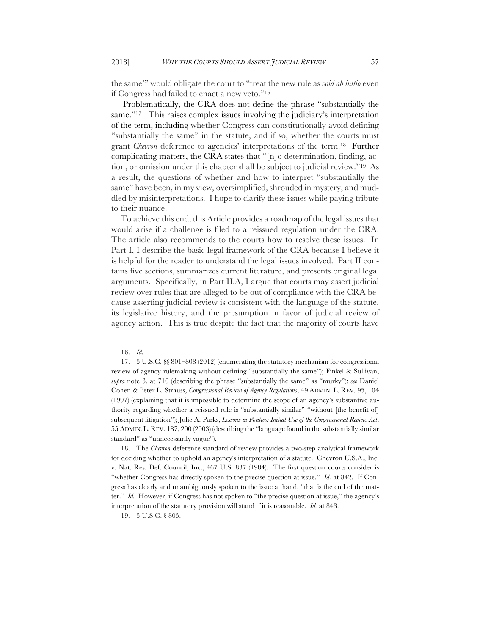the same'" would obligate the court to "treat the new rule as *void ab initio* even if Congress had failed to enact a new veto."16

Problematically, the CRA does not define the phrase "substantially the same."<sup>17</sup> This raises complex issues involving the judiciary's interpretation of the term, including whether Congress can constitutionally avoid defining "substantially the same" in the statute, and if so, whether the courts must grant *Chevron* deference to agencies' interpretations of the term.18 Further complicating matters, the CRA states that "[n]o determination, finding, action, or omission under this chapter shall be subject to judicial review."19 As a result, the questions of whether and how to interpret "substantially the same" have been, in my view, oversimplified, shrouded in mystery, and muddled by misinterpretations. I hope to clarify these issues while paying tribute to their nuance.

To achieve this end, this Article provides a roadmap of the legal issues that would arise if a challenge is filed to a reissued regulation under the CRA. The article also recommends to the courts how to resolve these issues. In Part I, I describe the basic legal framework of the CRA because I believe it is helpful for the reader to understand the legal issues involved. Part II contains five sections, summarizes current literature, and presents original legal arguments. Specifically, in Part II.A, I argue that courts may assert judicial review over rules that are alleged to be out of compliance with the CRA because asserting judicial review is consistent with the language of the statute, its legislative history, and the presumption in favor of judicial review of agency action. This is true despite the fact that the majority of courts have

18. The *Chevron* deference standard of review provides a two-step analytical framework for deciding whether to uphold an agency's interpretation of a statute. Chevron U.S.A., Inc. v. Nat. Res. Def. Council, Inc., 467 U.S. 837 (1984). The first question courts consider is "whether Congress has directly spoken to the precise question at issue." *Id.* at 842. If Congress has clearly and unambiguously spoken to the issue at hand, "that is the end of the matter." *Id.* However, if Congress has not spoken to "the precise question at issue," the agency's interpretation of the statutory provision will stand if it is reasonable. *Id.* at 843.

19. 5 U.S.C. § 805.

<sup>16.</sup> *Id.*

<sup>17.</sup> 5 U.S.C. §§ 801–808 (2012) (enumerating the statutory mechanism for congressional review of agency rulemaking without defining "substantially the same"); Finkel & Sullivan, *supra* note 3, at 710 (describing the phrase "substantially the same" as "murky"); *see* Daniel Cohen & Peter L. Strauss, *Congressional Review of Agency Regulations*, 49 ADMIN. L. REV. 95, 104 (1997) (explaining that it is impossible to determine the scope of an agency's substantive authority regarding whether a reissued rule is "substantially similar" "without [the benefit of] subsequent litigation"); Julie A. Parks, *Lessons in Politics: Initial Use of the Congressional Review Act*, 55 ADMIN. L. REV. 187, 200 (2003) (describing the "language found in the substantially similar standard" as "unnecessarily vague").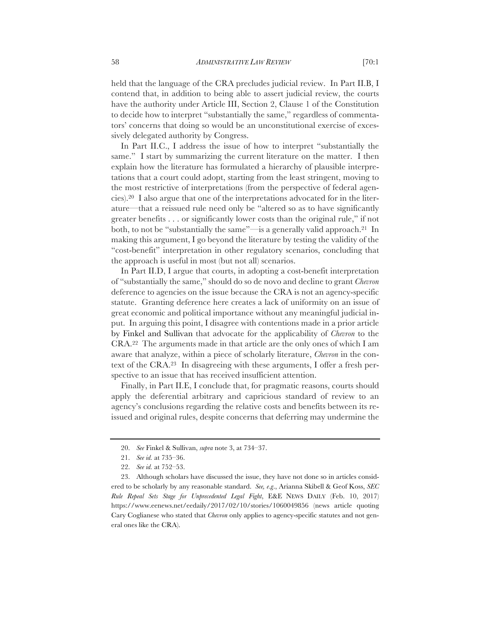held that the language of the CRA precludes judicial review. In Part II.B, I contend that, in addition to being able to assert judicial review, the courts have the authority under Article III, Section 2, Clause 1 of the Constitution to decide how to interpret "substantially the same," regardless of commentators' concerns that doing so would be an unconstitutional exercise of excessively delegated authority by Congress.

In Part II.C., I address the issue of how to interpret "substantially the same." I start by summarizing the current literature on the matter. I then explain how the literature has formulated a hierarchy of plausible interpretations that a court could adopt, starting from the least stringent, moving to the most restrictive of interpretations (from the perspective of federal agencies).20 I also argue that one of the interpretations advocated for in the literature—that a reissued rule need only be "altered so as to have significantly greater benefits . . . or significantly lower costs than the original rule," if not both, to not be "substantially the same"—is a generally valid approach.21 In making this argument, I go beyond the literature by testing the validity of the "cost-benefit" interpretation in other regulatory scenarios, concluding that the approach is useful in most (but not all) scenarios.

In Part II.D, I argue that courts, in adopting a cost-benefit interpretation of "substantially the same," should do so de novo and decline to grant *Chevron*  deference to agencies on the issue because the CRA is not an agency-specific statute. Granting deference here creates a lack of uniformity on an issue of great economic and political importance without any meaningful judicial input. In arguing this point, I disagree with contentions made in a prior article by Finkel and Sullivan that advocate for the applicability of *Chevron* to the CRA.22 The arguments made in that article are the only ones of which I am aware that analyze, within a piece of scholarly literature, *Chevron* in the context of the CRA.23 In disagreeing with these arguments, I offer a fresh perspective to an issue that has received insufficient attention.

Finally, in Part II.E, I conclude that, for pragmatic reasons, courts should apply the deferential arbitrary and capricious standard of review to an agency's conclusions regarding the relative costs and benefits between its reissued and original rules, despite concerns that deferring may undermine the

<sup>20.</sup> *See* Finkel & Sullivan, *supra* note 3, at 734–37.

<sup>21.</sup> *See id.* at 735–36.

<sup>22.</sup> *See id.* at 752–53.

<sup>23.</sup> Although scholars have discussed the issue, they have not done so in articles considered to be scholarly by any reasonable standard. *See, e*.*g*., Arianna Skibell & Geof Koss, *SEC Rule Repeal Sets Stage for Unprecedented Legal Fight*, E&E NEWS DAILY (Feb. 10, 2017) https://www.eenews.net/eedaily/2017/02/10/stories/1060049856 (news article quoting Cary Coglianese who stated that *Chevron* only applies to agency-specific statutes and not general ones like the CRA).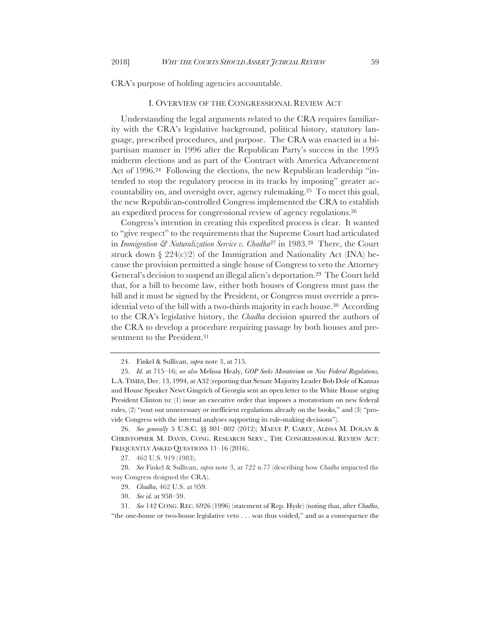CRA's purpose of holding agencies accountable.

#### I. OVERVIEW OF THE CONGRESSIONAL REVIEW ACT

Understanding the legal arguments related to the CRA requires familiarity with the CRA's legislative background, political history, statutory language, prescribed procedures, and purpose. The CRA was enacted in a bipartisan manner in 1996 after the Republican Party's success in the 1995 midterm elections and as part of the Contract with America Advancement Act of 1996.24 Following the elections, the new Republican leadership "intended to stop the regulatory process in its tracks by imposing" greater accountability on, and oversight over, agency rulemaking.25 To meet this goal, the new Republican-controlled Congress implemented the CRA to establish an expedited process for congressional review of agency regulations.26

Congress's intention in creating this expedited process is clear. It wanted to "give respect" to the requirements that the Supreme Court had articulated in *Immigration & Naturalization Service v. Chadha*<sup>27</sup> in 1983.28 There, the Court struck down  $\S 224(c)(2)$  of the Immigration and Nationality Act (INA) because the provision permitted a single house of Congress to veto the Attorney General's decision to suspend an illegal alien's deportation.29 The Court held that, for a bill to become law, either both houses of Congress must pass the bill and it must be signed by the President, or Congress must override a presidential veto of the bill with a two-thirds majority in each house.30 According to the CRA's legislative history, the *Chadha* decision spurred the authors of the CRA to develop a procedure requiring passage by both houses and presentment to the President.<sup>31</sup>

26. *See generally* 5 U.S.C. §§ 801–802 (2012); MAEVE P. CAREY, ALISSA M. DOLAN & CHRISTOPHER M. DAVIS, CONG. RESEARCH SERV., THE CONGRESSIONAL REVIEW ACT: FREQUENTLY ASKED QUESTIONS 11–16 (2016).

<sup>24.</sup> Finkel & Sullivan, *supra* note 3, at 715.

<sup>25.</sup> *Id.* at 715–16; *see also* Melissa Healy, *GOP Seeks Moratorium on New Federal Regulations,* L.A.TIMES, Dec. 13, 1994, at A32 (reporting that Senate Majority Leader Bob Dole of Kansas and House Speaker Newt Gingrich of Georgia sent an open letter to the White House urging President Clinton to: (1) issue an executive order that imposes a moratorium on new federal rules, (2) "rout out unnecessary or inefficient regulations already on the books," and (3) "provide Congress with the internal analyses supporting its rule-making decisions").

<sup>27.</sup> 462 U.S. 919 (1983).

<sup>28.</sup> *See* Finkel & Sullivan, *supra* note 3, at 722 n.77 (describing how *Chadha* impacted the way Congress designed the CRA).

<sup>29.</sup> *Chadha*, 462 U.S. at 959.

<sup>30.</sup> *See id.* at 958–59.

<sup>31.</sup> *See* 142 CONG. REC. 6926 (1996) (statement of Rep. Hyde) (noting that, after *Chadha*, "the one-house or two-house legislative veto . . . was thus voided," and as a consequence the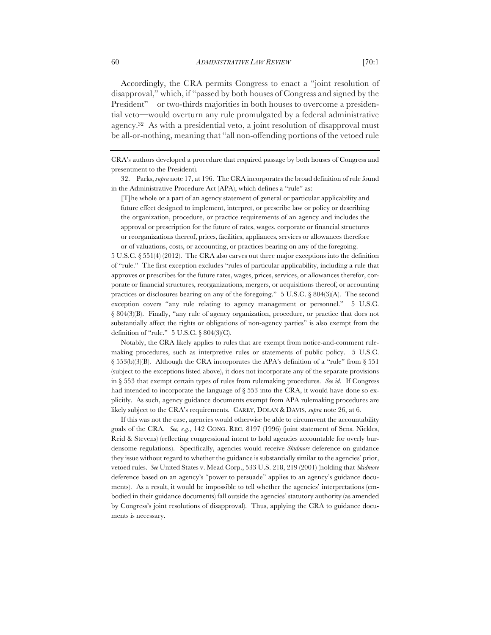Accordingly, the CRA permits Congress to enact a "joint resolution of disapproval," which, if "passed by both houses of Congress and signed by the President"—or two-thirds majorities in both houses to overcome a presidential veto—would overturn any rule promulgated by a federal administrative agency.32 As with a presidential veto, a joint resolution of disapproval must be all-or-nothing, meaning that "all non-offending portions of the vetoed rule

[T]he whole or a part of an agency statement of general or particular applicability and future effect designed to implement, interpret, or prescribe law or policy or describing the organization, procedure, or practice requirements of an agency and includes the approval or prescription for the future of rates, wages, corporate or financial structures or reorganizations thereof, prices, facilities, appliances, services or allowances therefore or of valuations, costs, or accounting, or practices bearing on any of the foregoing.

5 U.S.C. § 551(4) (2012). The CRA also carves out three major exceptions into the definition of "rule." The first exception excludes "rules of particular applicability, including a rule that approves or prescribes for the future rates, wages, prices, services, or allowances therefor, corporate or financial structures, reorganizations, mergers, or acquisitions thereof, or accounting practices or disclosures bearing on any of the foregoing."  $5 \text{ U.S.C.}$  § 804(3)(A). The second exception covers "any rule relating to agency management or personnel." 5 U.S.C. § 804(3)(B). Finally, "any rule of agency organization, procedure, or practice that does not substantially affect the rights or obligations of non-agency parties" is also exempt from the definition of "rule." 5 U.S.C. § 804(3)(C).

Notably, the CRA likely applies to rules that are exempt from notice-and-comment rulemaking procedures, such as interpretive rules or statements of public policy. 5 U.S.C. § 553(b)(3)(B). Although the CRA incorporates the APA's definition of a "rule" from § 551 (subject to the exceptions listed above), it does not incorporate any of the separate provisions in § 553 that exempt certain types of rules from rulemaking procedures. *See id.* If Congress had intended to incorporate the language of  $\S 553$  into the CRA, it would have done so explicitly. As such, agency guidance documents exempt from APA rulemaking procedures are likely subject to the CRA's requirements. CAREY, DOLAN & DAVIS, *supra* note 26, at 6.

If this was not the case, agencies would otherwise be able to circumvent the accountability goals of the CRA. *See, e.g.*, 142 CONG. REC. 8197 (1996) (joint statement of Sens. Nickles, Reid & Stevens) (reflecting congressional intent to hold agencies accountable for overly burdensome regulations). Specifically, agencies would receive *Skidmore* deference on guidance they issue without regard to whether the guidance is substantially similar to the agencies' prior, vetoed rules. *See* United States v. Mead Corp., 533 U.S. 218, 219 (2001) (holding that *Skidmore* deference based on an agency's "power to persuade" applies to an agency's guidance documents). As a result, it would be impossible to tell whether the agencies' interpretations (embodied in their guidance documents) fall outside the agencies' statutory authority (as amended by Congress's joint resolutions of disapproval). Thus, applying the CRA to guidance documents is necessary.

CRA's authors developed a procedure that required passage by both houses of Congress and presentment to the President).

<sup>32.</sup> Parks, *supra* note 17, at 196. The CRA incorporates the broad definition of rule found in the Administrative Procedure Act (APA), which defines a "rule" as: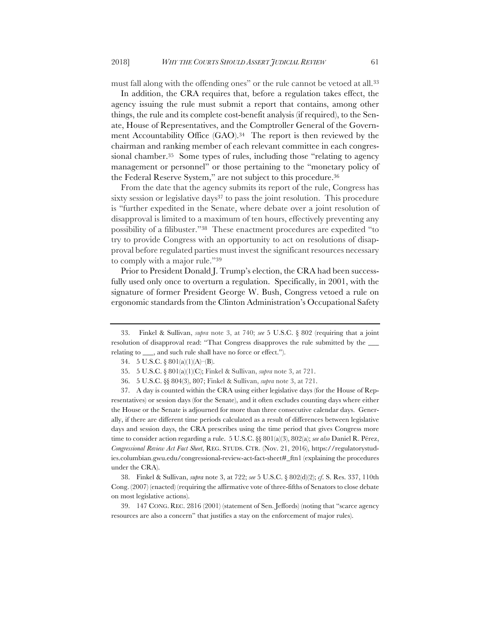must fall along with the offending ones" or the rule cannot be vetoed at all.33

In addition, the CRA requires that, before a regulation takes effect, the agency issuing the rule must submit a report that contains, among other things, the rule and its complete cost-benefit analysis (if required), to the Senate, House of Representatives, and the Comptroller General of the Government Accountability Office (GAO).<sup>34</sup> The report is then reviewed by the chairman and ranking member of each relevant committee in each congressional chamber.<sup>35</sup> Some types of rules, including those "relating to agency management or personnel" or those pertaining to the "monetary policy of the Federal Reserve System," are not subject to this procedure.36

From the date that the agency submits its report of the rule, Congress has sixty session or legislative days<sup>37</sup> to pass the joint resolution. This procedure is "further expedited in the Senate, where debate over a joint resolution of disapproval is limited to a maximum of ten hours, effectively preventing any possibility of a filibuster."38 These enactment procedures are expedited "to try to provide Congress with an opportunity to act on resolutions of disapproval before regulated parties must invest the significant resources necessary to comply with a major rule."39

Prior to President Donald J. Trump's election, the CRA had been successfully used only once to overturn a regulation. Specifically, in 2001, with the signature of former President George W. Bush, Congress vetoed a rule on ergonomic standards from the Clinton Administration's Occupational Safety

38. Finkel & Sullivan, *supra* note 3, at 722; *see* 5 U.S.C. § 802(d)(2); *cf*. S. Res. 337, 110th Cong. (2007) (enacted) (requiring the affirmative vote of three-fifths of Senators to close debate on most legislative actions).

39. 147 CONG. REC. 2816 (2001) (statement of Sen. Jeffords) (noting that "scarce agency resources are also a concern" that justifies a stay on the enforcement of major rules).

<sup>33.</sup> Finkel & Sullivan, *supra* note 3, at 740; *see* 5 U.S.C. § 802 (requiring that a joint resolution of disapproval read: "That Congress disapproves the rule submitted by the relating to \_\_\_, and such rule shall have no force or effect.").

<sup>34.</sup> 5 U.S.C. § 801(a)(1)(A)–(B).

<sup>35.</sup> 5 U.S.C. § 801(a)(1)(C); Finkel & Sullivan, *supra* note 3, at 721.

<sup>36.</sup> 5 U.S.C. §§ 804(3), 807; Finkel & Sullivan, *supra* note 3, at 721.

<sup>37.</sup> A day is counted within the CRA using either legislative days (for the House of Representatives) or session days (for the Senate), and it often excludes counting days where either the House or the Senate is adjourned for more than three consecutive calendar days. Generally, if there are different time periods calculated as a result of differences between legislative days and session days, the CRA prescribes using the time period that gives Congress more time to consider action regarding a rule. 5 U.S.C. §§ 801(a)(3), 802(a); *see also* Daniel R. Pérez, *Congressional Review Act Fact Sheet*, REG. STUDS. CTR. (Nov. 21, 2016), https://regulatorystudies.columbian.gwu.edu/congressional-review-act-fact-sheet#\_ftn1 (explaining the procedures under the CRA).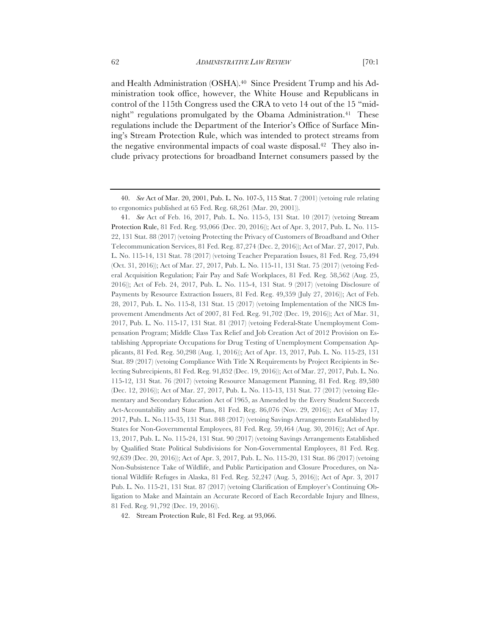and Health Administration (OSHA).40 Since President Trump and his Administration took office, however, the White House and Republicans in control of the 115th Congress used the CRA to veto 14 out of the 15 "midnight" regulations promulgated by the Obama Administration.<sup>41</sup> These regulations include the Department of the Interior's Office of Surface Mining's Stream Protection Rule, which was intended to protect streams from the negative environmental impacts of coal waste disposal.42 They also include privacy protections for broadband Internet consumers passed by the

42. Stream Protection Rule, 81 Fed. Reg. at 93,066.

<sup>40.</sup> *See* Act of Mar. 20, 2001, Pub. L. No. 107-5, 115 Stat. 7 (2001) (vetoing rule relating to ergonomics published at 65 Fed. Reg. 68,261 (Mar. 20, 2001)).

<sup>41.</sup> *See* Act of Feb. 16, 2017, Pub. L. No. 115-5, 131 Stat. 10 (2017) (vetoing Stream Protection Rule, 81 Fed. Reg. 93,066 (Dec. 20, 2016)); Act of Apr. 3, 2017, Pub. L. No. 115- 22, 131 Stat. 88 (2017) (vetoing Protecting the Privacy of Customers of Broadband and Other Telecommunication Services, 81 Fed. Reg. 87,274 (Dec. 2, 2016)); Act of Mar. 27, 2017, Pub. L. No. 115-14, 131 Stat. 78 (2017) (vetoing Teacher Preparation Issues, 81 Fed. Reg. 75,494 (Oct. 31, 2016)); Act of Mar. 27, 2017, Pub. L. No. 115-11, 131 Stat. 75 (2017) (vetoing Federal Acquisition Regulation; Fair Pay and Safe Workplaces, 81 Fed. Reg. 58,562 (Aug. 25, 2016)); Act of Feb. 24, 2017, Pub. L. No. 115-4, 131 Stat. 9 (2017) (vetoing Disclosure of Payments by Resource Extraction Issuers, 81 Fed. Reg. 49,359 (July 27, 2016)); Act of Feb. 28, 2017, Pub. L. No. 115-8, 131 Stat. 15 (2017) (vetoing Implementation of the NICS Improvement Amendments Act of 2007, 81 Fed. Reg. 91,702 (Dec. 19, 2016)); Act of Mar. 31, 2017, Pub. L. No. 115-17, 131 Stat. 81 (2017) (vetoing Federal-State Unemployment Compensation Program; Middle Class Tax Relief and Job Creation Act of 2012 Provision on Establishing Appropriate Occupations for Drug Testing of Unemployment Compensation Applicants, 81 Fed. Reg. 50,298 (Aug. 1, 2016)); Act of Apr. 13, 2017, Pub. L. No. 115-23, 131 Stat. 89 (2017) (vetoing Compliance With Title X Requirements by Project Recipients in Selecting Subrecipients, 81 Fed. Reg. 91,852 (Dec. 19, 2016)); Act of Mar. 27, 2017, Pub. L. No. 115-12, 131 Stat. 76 (2017) (vetoing Resource Management Planning, 81 Fed. Reg. 89,580 (Dec. 12, 2016)); Act of Mar. 27, 2017, Pub. L. No. 115-13, 131 Stat. 77 (2017) (vetoing Elementary and Secondary Education Act of 1965, as Amended by the Every Student Succeeds Act-Accountability and State Plans, 81 Fed. Reg. 86,076 (Nov. 29, 2016)); Act of May 17, 2017, Pub. L. No.115-35, 131 Stat. 848 (2017) (vetoing Savings Arrangements Established by States for Non-Governmental Employees, 81 Fed. Reg. 59,464 (Aug. 30, 2016)); Act of Apr. 13, 2017, Pub. L. No. 115-24, 131 Stat. 90 (2017) (vetoing Savings Arrangements Established by Qualified State Political Subdivisions for Non-Governmental Employees, 81 Fed. Reg. 92,639 (Dec. 20, 2016)); Act of Apr. 3, 2017, Pub. L. No. 115-20, 131 Stat. 86 (2017) (vetoing Non-Subsistence Take of Wildlife, and Public Participation and Closure Procedures, on National Wildlife Refuges in Alaska, 81 Fed. Reg. 52,247 (Aug. 5, 2016)); Act of Apr. 3, 2017 Pub. L. No. 115-21, 131 Stat. 87 (2017) (vetoing Clarification of Employer's Continuing Obligation to Make and Maintain an Accurate Record of Each Recordable Injury and Illness, 81 Fed. Reg. 91,792 (Dec. 19, 2016)).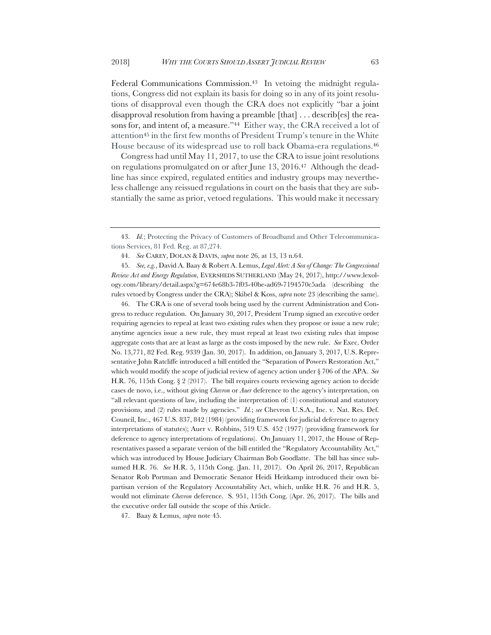Federal Communications Commission.<sup>43</sup> In vetoing the midnight regulations, Congress did not explain its basis for doing so in any of its joint resolutions of disapproval even though the CRA does not explicitly "bar a joint disapproval resolution from having a preamble [that] . . . describ[es] the reasons for, and intent of, a measure."<sup>44</sup> Either way, the CRA received a lot of attention45 in the first few months of President Trump's tenure in the White House because of its widespread use to roll back Obama-era regulations.46

Congress had until May 11, 2017, to use the CRA to issue joint resolutions on regulations promulgated on or after June 13, 2016.47 Although the deadline has since expired, regulated entities and industry groups may nevertheless challenge any reissued regulations in court on the basis that they are substantially the same as prior, vetoed regulations. This would make it necessary

45. *See, e.g.*, David A. Baay & Robert A. Lemus, *Legal Alert: A Sea of Change: The Congressional Review Act and Energy Regulation*, EVERSHEDS SUTHERLAND (May 24, 2017), http://www.lexology.com/library/detail.aspx?g=674e68b3-7f03-40be-ad69-7194570c5ada (describing the rules vetoed by Congress under the CRA); Skibel & Koss, *supra* note 23 (describing the same).

46. The CRA is one of several tools being used by the current Administration and Congress to reduce regulation. On January 30, 2017, President Trump signed an executive order requiring agencies to repeal at least two existing rules when they propose or issue a new rule; anytime agencies issue a new rule, they must repeal at least two existing rules that impose aggregate costs that are at least as large as the costs imposed by the new rule. *See* Exec. Order No. 13,771, 82 Fed. Reg. 9339 (Jan. 30, 2017). In addition, on January 3, 2017, U.S. Representative John Ratcliffe introduced a bill entitled the "Separation of Powers Restoration Act," which would modify the scope of judicial review of agency action under § 706 of the APA. *See* H.R. 76, 115th Cong. § 2 (2017). The bill requires courts reviewing agency action to decide cases de novo, i.e., without giving *Chevron* or *Auer* deference to the agency's interpretation, on "all relevant questions of law, including the interpretation of: (1) constitutional and statutory provisions, and (2) rules made by agencies." *Id.*; *see* Chevron U.S.A., Inc. v. Nat. Res. Def. Council, Inc., 467 U.S. 837, 842 (1984) (providing framework for judicial deference to agency interpretations of statutes); Auer v. Robbins, 519 U.S. 452 (1977) (providing framework for deference to agency interpretations of regulations). On January 11, 2017, the House of Representatives passed a separate version of the bill entitled the "Regulatory Accountability Act," which was introduced by House Judiciary Chairman Bob Goodlatte. The bill has since subsumed H.R. 76. *See* H.R. 5, 115th Cong. (Jan. 11, 2017). On April 26, 2017, Republican Senator Rob Portman and Democratic Senator Heidi Heitkamp introduced their own bipartisan version of the Regulatory Accountability Act, which, unlike H.R. 76 and H.R. 5, would not eliminate *Chevron* deference. S. 951, 115th Cong. (Apr. 26, 2017). The bills and the executive order fall outside the scope of this Article.

47. Baay & Lemus, *supra* note 45.

<sup>43.</sup> *Id.*; Protecting the Privacy of Customers of Broadband and Other Telecommunications Services, 81 Fed. Reg. at 87,274.

<sup>44.</sup> *See* CAREY, DOLAN & DAVIS, *supra* note 26, at 13, 13 n.64.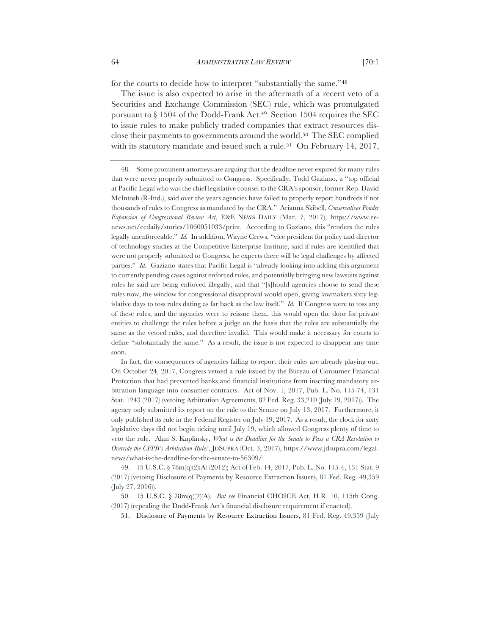for the courts to decide how to interpret "substantially the same."48

The issue is also expected to arise in the aftermath of a recent veto of a Securities and Exchange Commission (SEC) rule, which was promulgated pursuant to  $\S 1504$  of the Dodd-Frank Act.<sup>49</sup> Section 1504 requires the SEC to issue rules to make publicly traded companies that extract resources disclose their payments to governments around the world.<sup>50</sup> The SEC complied with its statutory mandate and issued such a rule.<sup>51</sup> On February 14, 2017,

49. 15 U.S.C. § 78m(q)(2)(A) (2012); Act of Feb. 14, 2017, Pub. L. No. 115-4, 131 Stat. 9 (2017) (vetoing Disclosure of Payments by Resource Extraction Issuers, 81 Fed. Reg. 49,359 (July 27, 2016)).

50. 15 U.S.C. § 78m(q)(2)(A). *But see* Financial CHOICE Act, H.R. 10, 115th Cong. (2017) (repealing the Dodd-Frank Act's financial disclosure requirement if enacted).

51. Disclosure of Payments by Resource Extraction Issuers, 81 Fed. Reg. 49,359 (July

<sup>48.</sup> Some prominent attorneys are arguing that the deadline never expired for many rules that were never properly submitted to Congress. Specifically, Todd Gaziano, a "top official at Pacific Legal who was the chief legislative counsel to the CRA's sponsor, former Rep. David McIntosh (R-Ind.), said over the years agencies have failed to properly report hundreds if not thousands of rules to Congress as mandated by the CRA." Arianna Skibell, *Conservatives Ponder Expansion of Congressional Review Act*, E&E NEWS DAILY (Mar. 7, 2017), https://www.eenews.net/eedaily/stories/1060051033/print. According to Gaziano, this "renders the rules legally unenforceable." *Id.* In addition, Wayne Crews, "vice president for policy and director of technology studies at the Competitive Enterprise Institute, said if rules are identified that were not properly submitted to Congress, he expects there will be legal challenges by affected parties." *Id.* Gaziano states that Pacific Legal is "already looking into adding this argument to currently pending cases against enforced rules, and potentially bringing new lawsuits against rules he said are being enforced illegally, and that "[s]hould agencies choose to send these rules now, the window for congressional disapproval would open, giving lawmakers sixty legislative days to toss rules dating as far back as the law itself." *Id.* If Congress were to toss any of these rules, and the agencies were to reissue them, this would open the door for private entities to challenge the rules before a judge on the basis that the rules are substantially the same as the vetoed rules, and therefore invalid. This would make it necessary for courts to define "substantially the same." As a result, the issue is not expected to disappear any time soon.

In fact, the consequences of agencies failing to report their rules are already playing out. On October 24, 2017, Congress vetoed a rule issued by the Bureau of Consumer Financial Protection that had prevented banks and financial institutions from inserting mandatory arbitration language into consumer contracts. Act of Nov. 1, 2017, Pub. L. No. 115-74, 131 Stat. 1243 (2017) (vetoing Arbitration Agreements, 82 Fed. Reg. 33,210 (July 19, 2017)). The agency only submitted its report on the rule to the Senate on July 13, 2017. Furthermore, it only published its rule in the Federal Register on July 19, 2017. As a result, the clock for sixty legislative days did not begin ticking until July 19, which allowed Congress plenty of time to veto the rule. Alan S. Kaplinsky, *What is the Deadline for the Senate to Pass a CRA Resolution to Override the CFPB's Arbitration Rule?*, JDSUPRA (Oct. 3, 2017), https://www.jdsupra.com/legalnews/what-is-the-deadline-for-the-senate-to-56309/.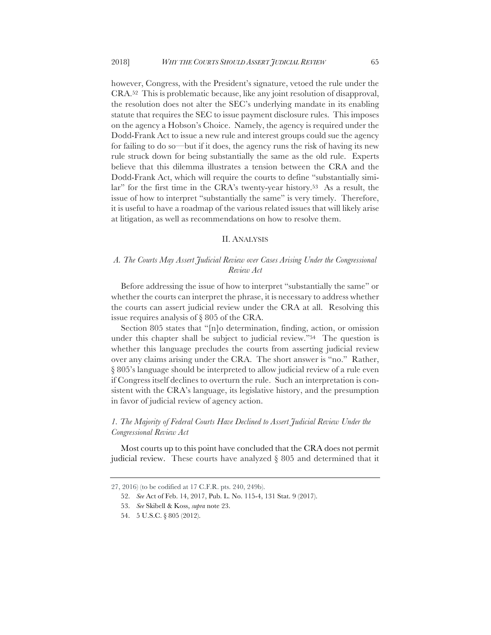however, Congress, with the President's signature, vetoed the rule under the CRA.52 This is problematic because, like any joint resolution of disapproval, the resolution does not alter the SEC's underlying mandate in its enabling statute that requires the SEC to issue payment disclosure rules. This imposes on the agency a Hobson's Choice. Namely, the agency is required under the Dodd-Frank Act to issue a new rule and interest groups could sue the agency for failing to do so—but if it does, the agency runs the risk of having its new rule struck down for being substantially the same as the old rule. Experts believe that this dilemma illustrates a tension between the CRA and the Dodd-Frank Act, which will require the courts to define "substantially similar" for the first time in the CRA's twenty-year history.53 As a result, the issue of how to interpret "substantially the same" is very timely. Therefore, it is useful to have a roadmap of the various related issues that will likely arise at litigation, as well as recommendations on how to resolve them.

#### II. ANALYSIS

### *A. The Courts May Assert Judicial Review over Cases Arising Under the Congressional Review Act*

Before addressing the issue of how to interpret "substantially the same" or whether the courts can interpret the phrase, it is necessary to address whether the courts can assert judicial review under the CRA at all. Resolving this issue requires analysis of § 805 of the CRA.

Section 805 states that "[n]o determination, finding, action, or omission under this chapter shall be subject to judicial review."54 The question is whether this language precludes the courts from asserting judicial review over any claims arising under the CRA. The short answer is "no." Rather, § 805's language should be interpreted to allow judicial review of a rule even if Congress itself declines to overturn the rule. Such an interpretation is consistent with the CRA's language, its legislative history, and the presumption in favor of judicial review of agency action.

### *1. The Majority of Federal Courts Have Declined to Assert Judicial Review Under the Congressional Review Act*

Most courts up to this point have concluded that the CRA does not permit judicial review. These courts have analyzed § 805 and determined that it

<sup>27, 2016) (</sup>to be codified at 17 C.F.R. pts. 240, 249b).

<sup>52.</sup> *See* Act of Feb. 14, 2017, Pub. L. No. 115-4, 131 Stat. 9 (2017).

<sup>53.</sup> *See* Skibell & Koss, *supra* note 23.

<sup>54.</sup> 5 U.S.C. § 805 (2012).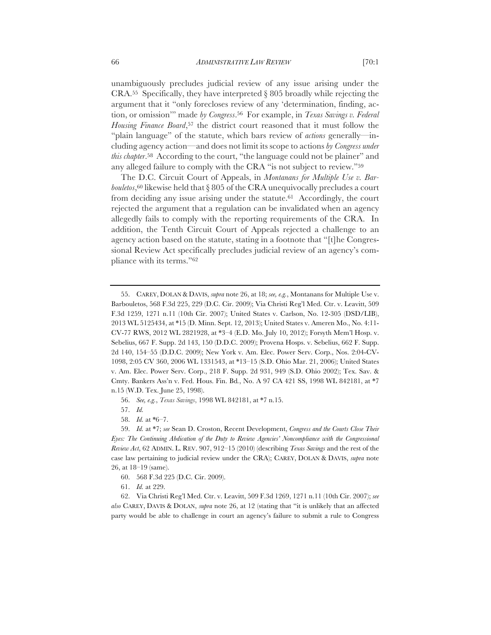unambiguously precludes judicial review of any issue arising under the CRA.55 Specifically, they have interpreted § 805 broadly while rejecting the argument that it "only forecloses review of any 'determination, finding, action, or omission'" made *by Congress*.56 For example, in *Texas Savings v. Federal Housing Finance Board*,57 the district court reasoned that it must follow the "plain language" of the statute, which bars review of *actions* generally—including agency action—and does not limit its scope to actions *by Congress under this chapter*.58 According to the court, "the language could not be plainer" and any alleged failure to comply with the CRA "is not subject to review."59

The D.C. Circuit Court of Appeals, in *Montanans for Multiple Use v. Barbouletos*,60 likewise held that § 805 of the CRA unequivocally precludes a court from deciding any issue arising under the statute.<sup>61</sup> Accordingly, the court rejected the argument that a regulation can be invalidated when an agency allegedly fails to comply with the reporting requirements of the CRA. In addition, the Tenth Circuit Court of Appeals rejected a challenge to an agency action based on the statute, stating in a footnote that "[t]he Congressional Review Act specifically precludes judicial review of an agency's compliance with its terms."62

56. *See, e.g.*, *Texas Savings*, 1998 WL 842181, at \*7 n.15.

57. *Id.*

58. *Id.* at \*6–7.

59. *Id.* at \*7; *see* Sean D. Croston, Recent Development, *Congress and the Courts Close Their Eyes: The Continuing Abdication of the Duty to Review Agencies' Noncompliance with the Congressional Review Act*, 62 ADMIN. L. REV. 907, 912–15 (2010) (describing *Texas Savings* and the rest of the case law pertaining to judicial review under the CRA); CAREY, DOLAN & DAVIS, *supra* note 26, at 18–19 (same).

60. 568 F.3d 225 (D.C. Cir. 2009).

61. *Id.* at 229.

62. Via Christi Reg'l Med. Ctr. v. Leavitt, 509 F.3d 1269, 1271 n.11 (10th Cir. 2007); *see also* CAREY, DAVIS & DOLAN, *supra* note 26, at 12 (stating that "it is unlikely that an affected party would be able to challenge in court an agency's failure to submit a rule to Congress

<sup>55.</sup> CAREY, DOLAN & DAVIS, *supra* note 26, at 18; *see, e.g.*, Montanans for Multiple Use v. Barbouletos, 568 F.3d 225, 229 (D.C. Cir. 2009); Via Christi Reg'l Med. Ctr. v. Leavitt, 509 F.3d 1259, 1271 n.11 (10th Cir. 2007); United States v. Carlson, No. 12-305 (DSD/LIB), 2013 WL 5125434, at \*15 (D. Minn. Sept. 12, 2013); United States v. Ameren Mo., No. 4:11- CV-77 RWS, 2012 WL 2821928, at \*3–4 (E.D. Mo. July 10, 2012); Forsyth Mem'l Hosp. v. Sebelius, 667 F. Supp. 2d 143, 150 (D.D.C. 2009); Provena Hosps. v. Sebelius, 662 F. Supp. 2d 140, 154–55 (D.D.C. 2009); New York v. Am. Elec. Power Serv. Corp., Nos. 2:04-CV-1098, 2:05 CV 360, 2006 WL 1331543, at \*13–15 (S.D. Ohio Mar. 21, 2006); United States v. Am. Elec. Power Serv. Corp., 218 F. Supp. 2d 931, 949 (S.D. Ohio 2002); Tex. Sav. & Cmty. Bankers Ass'n v. Fed. Hous. Fin. Bd*.*, No. A 97 CA 421 SS, 1998 WL 842181, at \*7 n.15 (W.D. Tex. June 25, 1998).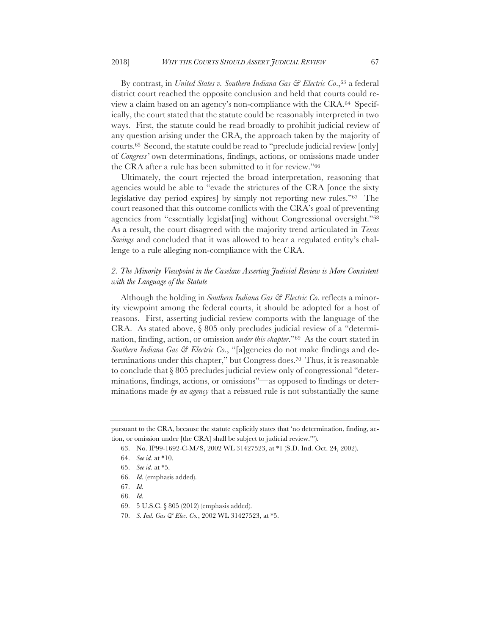By contrast, in *United States v. Southern Indiana Gas & Electric Co*.,63 a federal district court reached the opposite conclusion and held that courts could review a claim based on an agency's non-compliance with the CRA.64 Specifically, the court stated that the statute could be reasonably interpreted in two ways. First, the statute could be read broadly to prohibit judicial review of any question arising under the CRA, the approach taken by the majority of courts.65 Second, the statute could be read to "preclude judicial review [only] of *Congress'* own determinations, findings, actions, or omissions made under the CRA after a rule has been submitted to it for review."66

Ultimately, the court rejected the broad interpretation, reasoning that agencies would be able to "evade the strictures of the CRA [once the sixty legislative day period expires] by simply not reporting new rules."67 The court reasoned that this outcome conflicts with the CRA's goal of preventing agencies from "essentially legislat[ing] without Congressional oversight."68 As a result, the court disagreed with the majority trend articulated in *Texas Savings* and concluded that it was allowed to hear a regulated entity's challenge to a rule alleging non-compliance with the CRA.

### *2. The Minority Viewpoint in the Caselaw Asserting Judicial Review is More Consistent with the Language of the Statute*

Although the holding in *Southern Indiana Gas & Electric Co.* reflects a minority viewpoint among the federal courts, it should be adopted for a host of reasons. First, asserting judicial review comports with the language of the CRA. As stated above, § 805 only precludes judicial review of a "determination, finding, action, or omission *under this chapter*."69 As the court stated in *Southern Indiana Gas & Electric Co.*, "[a]gencies do not make findings and determinations under this chapter," but Congress does.70 Thus, it is reasonable to conclude that § 805 precludes judicial review only of congressional "determinations, findings, actions, or omissions"—as opposed to findings or determinations made *by an agency* that a reissued rule is not substantially the same

pursuant to the CRA, because the statute explicitly states that 'no determination, finding, action, or omission under [the CRA] shall be subject to judicial review.'").

<sup>63.</sup> No. IP99-1692-C-M/S, 2002 WL 31427523, at \*1 (S.D. Ind. Oct. 24, 2002).

<sup>64.</sup> *See id.* at \*10.

<sup>65.</sup> *See id.* at \*5.

<sup>66.</sup> *Id.* (emphasis added).

<sup>67.</sup> *Id.*

<sup>68.</sup> *Id.*

<sup>69.</sup> 5 U.S.C. § 805 (2012) (emphasis added).

<sup>70.</sup> *S. Ind. Gas & Elec. Co.*, 2002 WL 31427523, at \*5.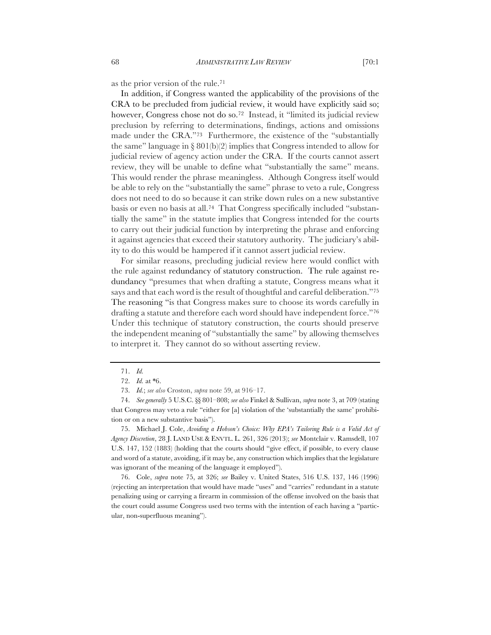as the prior version of the rule.71

In addition, if Congress wanted the applicability of the provisions of the CRA to be precluded from judicial review, it would have explicitly said so; however, Congress chose not do so.<sup>72</sup> Instead, it "limited its judicial review preclusion by referring to determinations, findings, actions and omissions made under the CRA."73 Furthermore, the existence of the "substantially the same" language in  $\S 801(b)(2)$  implies that Congress intended to allow for judicial review of agency action under the CRA. If the courts cannot assert review, they will be unable to define what "substantially the same" means. This would render the phrase meaningless. Although Congress itself would be able to rely on the "substantially the same" phrase to veto a rule, Congress does not need to do so because it can strike down rules on a new substantive basis or even no basis at all.74 That Congress specifically included "substantially the same" in the statute implies that Congress intended for the courts to carry out their judicial function by interpreting the phrase and enforcing it against agencies that exceed their statutory authority. The judiciary's ability to do this would be hampered if it cannot assert judicial review.

For similar reasons, precluding judicial review here would conflict with the rule against redundancy of statutory construction. The rule against redundancy "presumes that when drafting a statute, Congress means what it says and that each word is the result of thoughtful and careful deliberation."75 The reasoning "is that Congress makes sure to choose its words carefully in drafting a statute and therefore each word should have independent force."76 Under this technique of statutory construction, the courts should preserve the independent meaning of "substantially the same" by allowing themselves to interpret it. They cannot do so without asserting review.

75. Michael J. Cole, *Avoiding a Hobson's Choice: Why EPA's Tailoring Rule is a Valid Act of Agency Discretion*, 28 J. LAND USE & ENVTL. L. 261, 326 (2013); *see* Montclair v. Ramsdell, 107 U.S. 147, 152 (1883) (holding that the courts should "give effect, if possible, to every clause and word of a statute, avoiding, if it may be, any construction which implies that the legislature was ignorant of the meaning of the language it employed").

76. Cole, *supra* note 75, at 326; *see* Bailey v. United States, 516 U.S. 137, 146 (1996) (rejecting an interpretation that would have made "uses" and "carries" redundant in a statute penalizing using or carrying a firearm in commission of the offense involved on the basis that the court could assume Congress used two terms with the intention of each having a "particular, non-superfluous meaning").

<sup>71.</sup> *Id.*

<sup>72.</sup> *Id.* at \*6.

<sup>73.</sup> *Id.*; *see also* Croston, *supra* note 59, at 916–17.

<sup>74.</sup> *See generally* 5 U.S.C. §§ 801–808; *see also* Finkel & Sullivan, *supra* note 3, at 709 (stating that Congress may veto a rule "either for [a] violation of the 'substantially the same' prohibition or on a new substantive basis").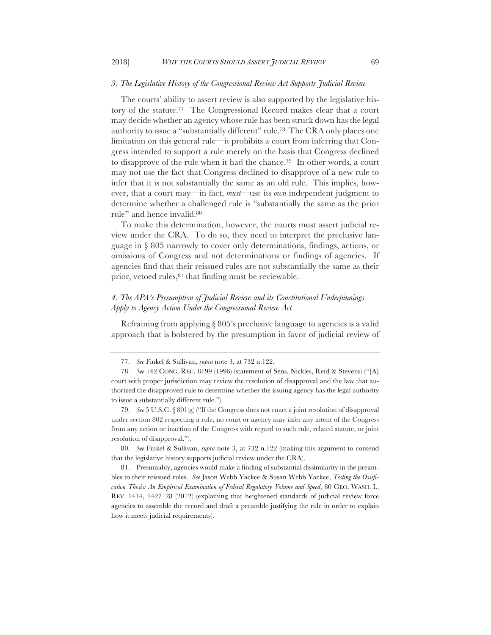#### *3. The Legislative History of the Congressional Review Act Supports Judicial Review*

The courts' ability to assert review is also supported by the legislative history of the statute.77 The Congressional Record makes clear that a court may decide whether an agency whose rule has been struck down has the legal authority to issue a "substantially different" rule.78 The CRA only places one limitation on this general rule—it prohibits a court from inferring that Congress intended to support a rule merely on the basis that Congress declined to disapprove of the rule when it had the chance.79 In other words, a court may not use the fact that Congress declined to disapprove of a new rule to infer that it is not substantially the same as an old rule. This implies, however, that a court may—in fact, *must*—use its *own* independent judgment to determine whether a challenged rule is "substantially the same as the prior rule" and hence invalid.80

To make this determination, however, the courts must assert judicial review under the CRA. To do so, they need to interpret the preclusive language in § 805 narrowly to cover only determinations, findings, actions, or omissions of Congress and not determinations or findings of agencies. If agencies find that their reissued rules are not substantially the same as their prior, vetoed rules, <sup>81</sup> that finding must be reviewable.

# *4. The APA's Presumption of Judicial Review and its Constitutional Underpinnings Apply to Agency Action Under the Congressional Review Act*

Refraining from applying § 805's preclusive language to agencies is a valid approach that is bolstered by the presumption in favor of judicial review of

<sup>77.</sup> *See* Finkel & Sullivan, *supra* note 3, at 732 n.122.

<sup>78.</sup> *See* 142 CONG. REC. 8199 (1996) (statement of Sens. Nickles, Reid & Stevens) ("[A] court with proper jurisdiction may review the resolution of disapproval and the law that authorized the disapproved rule to determine whether the issuing agency has the legal authority to issue a substantially different rule.").

<sup>79.</sup> *See* 5 U.S.C. § 801(g) ("If the Congress does not enact a joint resolution of disapproval under section 802 respecting a rule, no court or agency may infer any intent of the Congress from any action or inaction of the Congress with regard to such rule, related statute, or joint resolution of disapproval.").

<sup>80.</sup> *See* Finkel & Sullivan, *supra* note 3, at 732 n.122 (making this argument to contend that the legislative history supports judicial review under the CRA).

<sup>81.</sup> Presumably, agencies would make a finding of substantial dissimilarity in the preambles to their reissued rules. *See* Jason Webb Yackee & Susan Webb Yackee, *Testing the Ossification Thesis: An Empirical Examination of Federal Regulatory Volume and Speed*, 80 GEO. WASH. L. REV. 1414, 1427–28 (2012) (explaining that heightened standards of judicial review force agencies to assemble the record and draft a preamble justifying the rule in order to explain how it meets judicial requirements).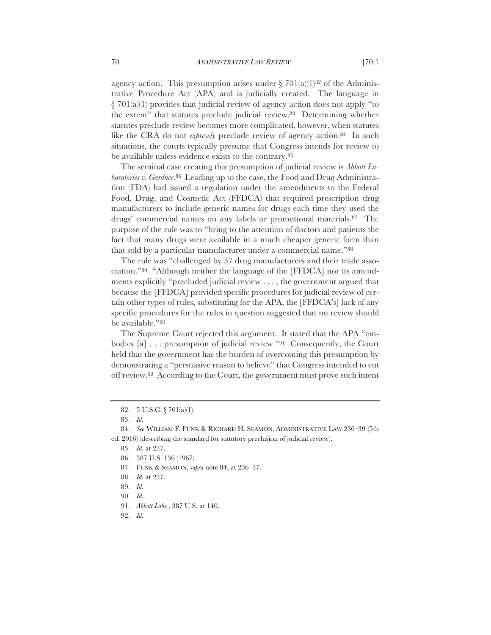agency action. This presumption arises under § 701(a)(1)<sup>82</sup> of the Administrative Procedure Act (APA) and is judicially created. The language in  $\S$  701(a)(1) provides that judicial review of agency action does not apply "to the extent" that statutes preclude judicial review.83 Determining whether statutes preclude review becomes more complicated, however, when statutes like the CRA do not *expressly* preclude review of agency action.<sup>84</sup> In such situations, the courts typically presume that Congress intends for review to be available unless evidence exists to the contrary.85

The seminal case creating this presumption of judicial review is *Abbott Laboratories v. Gardner*.86 Leading up to the case, the Food and Drug Administration (FDA) had issued a regulation under the amendments to the Federal Food, Drug, and Cosmetic Act (FFDCA) that required prescription drug manufacturers to include generic names for drugs each time they used the drugs' commercial names on any labels or promotional materials.87 The purpose of the rule was to "bring to the attention of doctors and patients the fact that many drugs were available in a much cheaper generic form than that sold by a particular manufacturer under a commercial name."88

The rule was "challenged by 37 drug manufacturers and their trade association."89 "Although neither the language of the [FFDCA] nor its amendments explicitly "precluded judicial review . . . , the government argued that because the [FFDCA] provided specific procedures for judicial review of certain other types of rules, substituting for the APA, the [FFDCA's] lack of any specific procedures for the rules in question suggested that no review should be available."90

The Supreme Court rejected this argument. It stated that the APA "embodies [a] . . . presumption of judicial review."91 Consequently, the Court held that the government has the burden of overcoming this presumption by demonstrating a "persuasive reason to believe" that Congress intended to cut off review.92 According to the Court, the government must prove such intent

<sup>82.</sup> 5 U.S.C. § 701(a)(1).

<sup>83.</sup> *Id.*

<sup>84.</sup> *See* WILLIAM F. FUNK & RICHARD H. SEAMON, ADMINISTRATIVE LAW 236–39 (5th ed. 2016) (describing the standard for statutory preclusion of judicial review).

<sup>85.</sup> *Id.* at 237.

<sup>86.</sup> 387 U.S. 136 (1967).

<sup>87.</sup> FUNK & SEAMON, *supra* note 84, at 236–37.

<sup>88.</sup> *Id.* at 237.

<sup>89.</sup> *Id.*

<sup>90.</sup> *Id.*

<sup>91.</sup> *Abbott Labs.*, 387 U.S. at 140.

<sup>92.</sup> *Id.*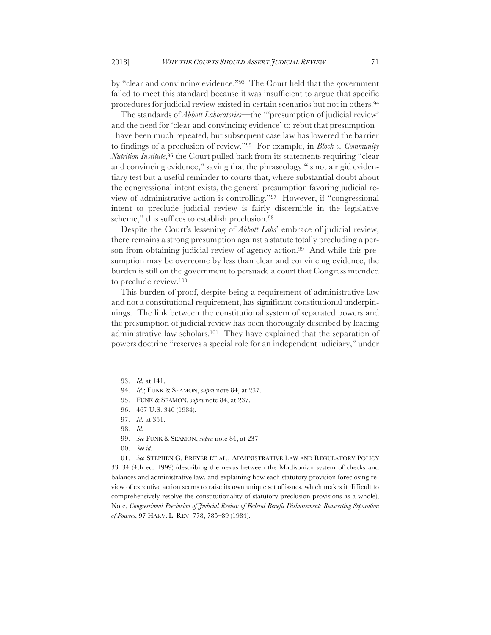by "clear and convincing evidence."93 The Court held that the government failed to meet this standard because it was insufficient to argue that specific procedures for judicial review existed in certain scenarios but not in others.94

The standards of *Abbott Laboratories*—the "'presumption of judicial review' and the need for 'clear and convincing evidence' to rebut that presumption– –have been much repeated, but subsequent case law has lowered the barrier to findings of a preclusion of review."95 For example, in *Block v. Community Nutrition Institute*,<sup>96</sup> the Court pulled back from its statements requiring "clear and convincing evidence," saying that the phraseology "is not a rigid evidentiary test but a useful reminder to courts that, where substantial doubt about the congressional intent exists, the general presumption favoring judicial review of administrative action is controlling."97 However, if "congressional intent to preclude judicial review is fairly discernible in the legislative scheme," this suffices to establish preclusion.98

Despite the Court's lessening of *Abbott Labs*' embrace of judicial review, there remains a strong presumption against a statute totally precluding a person from obtaining judicial review of agency action.<sup>99</sup> And while this presumption may be overcome by less than clear and convincing evidence, the burden is still on the government to persuade a court that Congress intended to preclude review.100

This burden of proof, despite being a requirement of administrative law and not a constitutional requirement, has significant constitutional underpinnings. The link between the constitutional system of separated powers and the presumption of judicial review has been thoroughly described by leading administrative law scholars.101 They have explained that the separation of powers doctrine "reserves a special role for an independent judiciary," under

101. *See* STEPHEN G. BREYER ET AL., ADMINISTRATIVE LAW AND REGULATORY POLICY 33–34 (4th ed. 1999) (describing the nexus between the Madisonian system of checks and balances and administrative law, and explaining how each statutory provision foreclosing review of executive action seems to raise its own unique set of issues, which makes it difficult to comprehensively resolve the constitutionality of statutory preclusion provisions as a whole); Note, *Congressional Preclusion of Judicial Review of Federal Benefit Disbursement: Reasserting Separation of Powers*, 97 HARV. L. REV. 778, 785–89 (1984).

<sup>93.</sup> *Id.* at 141.

<sup>94.</sup> *Id.*; FUNK & SEAMON, *supra* note 84, at 237.

<sup>95.</sup> FUNK & SEAMON, *supra* note 84, at 237.

<sup>96.</sup> 467 U.S. 340 (1984).

<sup>97.</sup> *Id.* at 351.

<sup>98.</sup> *Id.*

<sup>99.</sup> *See* FUNK & SEAMON, *supra* note 84, at 237.

<sup>100.</sup> *See id.*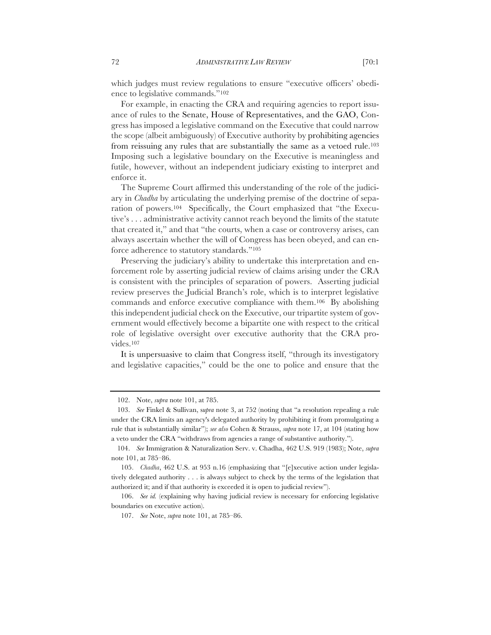which judges must review regulations to ensure "executive officers' obedience to legislative commands."102

For example, in enacting the CRA and requiring agencies to report issuance of rules to the Senate, House of Representatives, and the GAO, Congress has imposed a legislative command on the Executive that could narrow the scope (albeit ambiguously) of Executive authority by prohibiting agencies from reissuing any rules that are substantially the same as a vetoed rule.103 Imposing such a legislative boundary on the Executive is meaningless and futile, however, without an independent judiciary existing to interpret and enforce it.

The Supreme Court affirmed this understanding of the role of the judiciary in *Chadha* by articulating the underlying premise of the doctrine of separation of powers.104 Specifically, the Court emphasized that "the Executive's . . . administrative activity cannot reach beyond the limits of the statute that created it," and that "the courts, when a case or controversy arises, can always ascertain whether the will of Congress has been obeyed, and can enforce adherence to statutory standards."105

Preserving the judiciary's ability to undertake this interpretation and enforcement role by asserting judicial review of claims arising under the CRA is consistent with the principles of separation of powers. Asserting judicial review preserves the Judicial Branch's role, which is to interpret legislative commands and enforce executive compliance with them.106 By abolishing this independent judicial check on the Executive, our tripartite system of government would effectively become a bipartite one with respect to the critical role of legislative oversight over executive authority that the CRA provides.107

It is unpersuasive to claim that Congress itself, "through its investigatory and legislative capacities," could be the one to police and ensure that the

<sup>102.</sup> Note, *supra* note 101, at 785.

<sup>103.</sup> *See* Finkel & Sullivan, s*upra* note 3, at 752 (noting that "a resolution repealing a rule under the CRA limits an agency's delegated authority by prohibiting it from promulgating a rule that is substantially similar"); *see also* Cohen & Strauss, *supra* note 17, at 104 (stating how a veto under the CRA "withdraws from agencies a range of substantive authority.").

<sup>104.</sup> *See* Immigration & Naturalization Serv. v. Chadha, 462 U.S. 919 (1983); Note, *supra* note 101, at 785–86.

<sup>105.</sup> *Chadha*, 462 U.S. at 953 n.16 (emphasizing that "[e]xecutive action under legislatively delegated authority . . . is always subject to check by the terms of the legislation that authorized it; and if that authority is exceeded it is open to judicial review").

<sup>106.</sup> *See id.* (explaining why having judicial review is necessary for enforcing legislative boundaries on executive action).

<sup>107.</sup> *See* Note, *supra* note 101, at 785–86.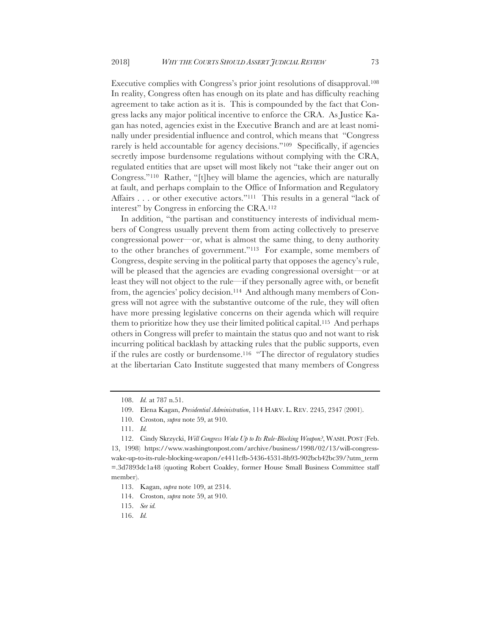Executive complies with Congress's prior joint resolutions of disapproval.108 In reality, Congress often has enough on its plate and has difficulty reaching agreement to take action as it is. This is compounded by the fact that Congress lacks any major political incentive to enforce the CRA. As Justice Kagan has noted, agencies exist in the Executive Branch and are at least nominally under presidential influence and control, which means that "Congress rarely is held accountable for agency decisions."109 Specifically, if agencies secretly impose burdensome regulations without complying with the CRA, regulated entities that are upset will most likely not "take their anger out on Congress."110 Rather, "[t]hey will blame the agencies, which are naturally at fault, and perhaps complain to the Office of Information and Regulatory Affairs . . . or other executive actors."<sup>111</sup> This results in a general "lack of interest" by Congress in enforcing the CRA.112

In addition, "the partisan and constituency interests of individual members of Congress usually prevent them from acting collectively to preserve congressional power—or, what is almost the same thing, to deny authority to the other branches of government."113 For example, some members of Congress, despite serving in the political party that opposes the agency's rule, will be pleased that the agencies are evading congressional oversight—or at least they will not object to the rule—if they personally agree with, or benefit from, the agencies' policy decision.114 And although many members of Congress will not agree with the substantive outcome of the rule, they will often have more pressing legislative concerns on their agenda which will require them to prioritize how they use their limited political capital.115 And perhaps others in Congress will prefer to maintain the status quo and not want to risk incurring political backlash by attacking rules that the public supports, even if the rules are costly or burdensome.116 "The director of regulatory studies at the libertarian Cato Institute suggested that many members of Congress

<sup>108.</sup> *Id.* at 787 n.51.

<sup>109.</sup> Elena Kagan, *Presidential Administration*, 114 HARV. L. REV. 2245, 2347 (2001).

<sup>110.</sup> Croston, *supra* note 59, at 910.

<sup>111.</sup> *Id.*

<sup>112.</sup> Cindy Skrzycki, *Will Congress Wake Up to Its Rule-Blocking Weapon?*, WASH. POST (Feb. 13, 1998) https://www.washingtonpost.com/archive/business/1998/02/13/will-congresswake-up-to-its-rule-blocking-weapon/e4411cfb-5436-4531-8b93-902bcb42bc39/?utm\_term =.3d7893dc1a48 (quoting Robert Coakley, former House Small Business Committee staff member).

<sup>113.</sup> Kagan, *supra* note 109, at 2314.

<sup>114.</sup> Croston, *supra* note 59, at 910.

<sup>115.</sup> *See id.* 

<sup>116.</sup> *Id.*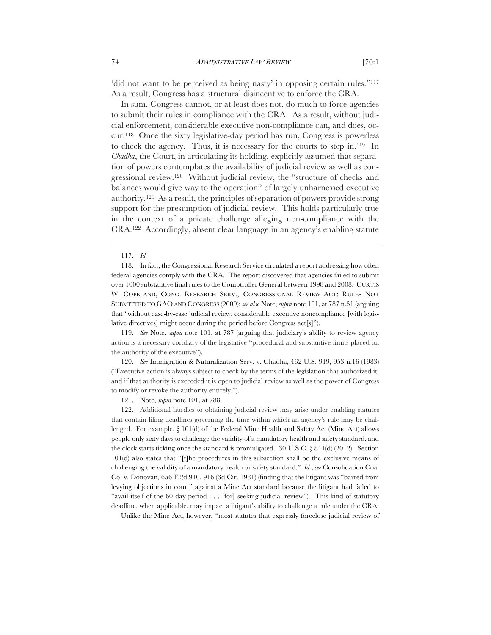'did not want to be perceived as being nasty' in opposing certain rules."<sup>117</sup> As a result, Congress has a structural disincentive to enforce the CRA.

In sum, Congress cannot, or at least does not, do much to force agencies to submit their rules in compliance with the CRA. As a result, without judicial enforcement, considerable executive non-compliance can, and does, occur.118 Once the sixty legislative-day period has run, Congress is powerless to check the agency. Thus, it is necessary for the courts to step in.119 In *Chadha*, the Court, in articulating its holding, explicitly assumed that separation of powers contemplates the availability of judicial review as well as congressional review.120 Without judicial review, the "structure of checks and balances would give way to the operation" of largely unharnessed executive authority.121 As a result, the principles of separation of powers provide strong support for the presumption of judicial review. This holds particularly true in the context of a private challenge alleging non-compliance with the CRA.122 Accordingly, absent clear language in an agency's enabling statute

119. *See* Note, *supra* note 101, at 787 (arguing that judiciary's ability to review agency action is a necessary corollary of the legislative "procedural and substantive limits placed on the authority of the executive").

120. *See* Immigration & Naturalization Serv. v. Chadha, 462 U.S. 919, 953 n.16 (1983) ("Executive action is always subject to check by the terms of the legislation that authorized it; and if that authority is exceeded it is open to judicial review as well as the power of Congress to modify or revoke the authority entirely.").

121. Note, *supra* note 101, at 788.

122. Additional hurdles to obtaining judicial review may arise under enabling statutes that contain filing deadlines governing the time within which an agency's rule may be challenged. For example, § 101(d) of the Federal Mine Health and Safety Act (Mine Act) allows people only sixty days to challenge the validity of a mandatory health and safety standard, and the clock starts ticking once the standard is promulgated.  $30 \text{ U.S.C.} \$   $811 \text{ (d)} (2012)$ . Section 101(d) also states that "[t]he procedures in this subsection shall be the exclusive means of challenging the validity of a mandatory health or safety standard." *Id.*; *see* Consolidation Coal Co. v. Donovan*,* 656 F.2d 910, 916 (3d Cir. 1981) (finding that the litigant was "barred from levying objections in court" against a Mine Act standard because the litigant had failed to "avail itself of the 60 day period . . . [for] seeking judicial review"). This kind of statutory deadline, when applicable, may impact a litigant's ability to challenge a rule under the CRA.

Unlike the Mine Act, however, "most statutes that expressly foreclose judicial review of

<sup>117.</sup> *Id.*

<sup>118.</sup> In fact, the Congressional Research Service circulated a report addressing how often federal agencies comply with the CRA. The report discovered that agencies failed to submit over 1000 substantive final rules to the Comptroller General between 1998 and 2008. CURTIS W. COPELAND, CONG. RESEARCH SERV., CONGRESSIONAL REVIEW ACT: RULES NOT SUBMITTED TO GAO AND CONGRESS (2009); *see also* Note, *supra* note 101, at 787 n.51 (arguing that "without case-by-case judicial review, considerable executive noncompliance [with legislative directives] might occur during the period before Congress act[s]").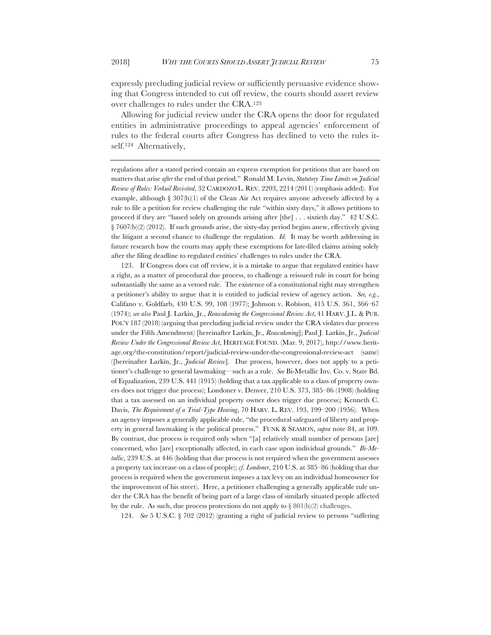expressly precluding judicial review or sufficiently persuasive evidence showing that Congress intended to cut off review, the courts should assert review over challenges to rules under the CRA.123

Allowing for judicial review under the CRA opens the door for regulated entities in administrative proceedings to appeal agencies' enforcement of rules to the federal courts after Congress has declined to veto the rules itself.124 Alternatively,

regulations after a stated period contain an express exemption for petitions that are based on matters that arise *after* the end of that period." Ronald M. Levin, *Statutory Time Limits on Judicial Review of Rules: Verkuil Revisited*, 32 CARDOZO L. REV. 2203, 2214 (2011) (emphasis added). For example, although  $\S 307(b)(1)$  of the Clean Air Act requires anyone adversely affected by a rule to file a petition for review challenging the rule "within sixty days," it allows petitions to proceed if they are "based solely on grounds arising after [the] . . . sixtieth day." 42 U.S.C. § 7607(b)(2) (2012). If such grounds arise, the sixty-day period begins anew, effectively giving the litigant a second chance to challenge the regulation. *Id.* It may be worth addressing in future research how the courts may apply these exemptions for late-filed claims arising solely after the filing deadline to regulated entities' challenges to rules under the CRA.

123. If Congress does cut off review, it is a mistake to argue that regulated entities have a right, as a matter of procedural due process, to challenge a reissued rule in court for being substantially the same as a vetoed rule. The existence of a constitutional right may strengthen a petitioner's ability to argue that it is entitled to judicial review of agency action. *See, e.g.*, Califano v. Goldfarb, 430 U.S. 99, 108 (1977); Johnson v. Robison, 415 U.S. 361, 366–67 (1974); *see also* Paul J. Larkin, Jr., *Reawakening the Congressional Review Act*, 41 HARV. J.L. & PUB. POL'Y 187 (2018) (arguing that precluding judicial review under the CRA violates due process under the Fifth Amendment) [hereinafter Larkin, Jr., *Reawakening*]; Paul J. Larkin, Jr., *Judicial Review Under the Congressional Review Act*, HERITAGE FOUND. (Mar. 9, 2017), http://www.heritage.org/the-constitution/report/judicial-review-under-the-congressional-review-act (same) ([hereinafter Larkin, Jr., *Judicial Review*]. Due process, however, does not apply to a petitioner's challenge to general lawmaking—such as a rule. *See* Bi-Metallic Inv. Co. v. State Bd. of Equalization, 239 U.S. 441 (1915) (holding that a tax applicable to a class of property owners does not trigger due process); Londoner v. Denver, 210 U.S. 373, 385–86 (1908) (holding that a tax assessed on an individual property owner does trigger due process); Kenneth C. Davis, *The Requirement of a Trial-Type Hearing*, 70 HARV. L. REV. 193, 199–200 (1956). When an agency imposes a generally applicable rule, "the procedural safeguard of liberty and property in general lawmaking is the political process." FUNK & SEAMON, *supra* note 84, at 109. By contrast, due process is required only when "[a] relatively small number of persons [are] concerned, who [are] exceptionally affected, in each case upon individual grounds." *Bi-Metallic*, 239 U.S. at 446 (holding that due process is not required when the government assesses a property tax increase on a class of people); *cf*. *Londoner*, 210 U.S. at 385–86 (holding that due process is required when the government imposes a tax levy on an individual homeowner for the improvement of his street). Here, a petitioner challenging a generally applicable rule under the CRA has the benefit of being part of a large class of similarly situated people affected by the rule. As such, due process protections do not apply to  $\S 801(b)(2)$  challenges.

124. *See* 5 U.S.C. § 702 (2012) (granting a right of judicial review to persons "suffering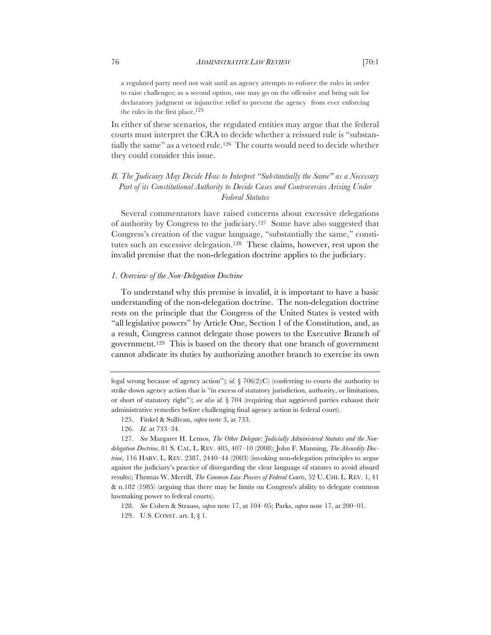a regulated party need not wait until an agency attempts to enforce the rules in order to raise challenges; as a second option, one may go on the offensive and bring suit for declaratory judgment or injunctive relief to prevent the agency from ever enforcing the rules in the first place.125

In either of these scenarios, the regulated entities may argue that the federal courts must interpret the CRA to decide whether a reissued rule is "substantially the same" as a vetoed rule.126 The courts would need to decide whether they could consider this issue.

## *B. The Judiciary May Decide How to Interpret "Substantially the Same" as a Necessary*  Part of its Constitutional Authority to Decide Cases and Controversies Arising Under *Federal Statutes*

Several commentators have raised concerns about excessive delegations of authority by Congress to the judiciary.127 Some have also suggested that Congress's creation of the vague language, "substantially the same," constitutes such an excessive delegation.128 These claims, however, rest upon the invalid premise that the non-delegation doctrine applies to the judiciary.

#### *1. Overview of the Non-Delegation Doctrine*

To understand why this premise is invalid, it is important to have a basic understanding of the non-delegation doctrine. The non-delegation doctrine rests on the principle that the Congress of the United States is vested with "all legislative powers" by Article One, Section 1 of the Constitution, and, as a result, Congress cannot delegate those powers to the Executive Branch of government.129 This is based on the theory that one branch of government cannot abdicate its duties by authorizing another branch to exercise its own

legal wrong because of agency action"); *id.*  $\frac{8}{306(2)}$  (conferring to courts the authority to strike down agency action that is "in excess of statutory jurisdiction, authority, or limitations, or short of statutory right"); *see also id.* § 704 (requiring that aggrieved parties exhaust their administrative remedies before challenging final agency action in federal court).

<sup>125.</sup> Finkel & Sullivan, *supra* note 3, at 733.

<sup>126.</sup> *Id.* at 733–34.

<sup>127.</sup> *See* Margaret H. Lemos, *The Other Delegate: Judicially Administered Statutes and the Nondelegation Doctrine*, 81 S. CAL. L. REV. 405, 407–10 (2008); John F. Manning, *The Absurdity Doctrine*, 116 HARV. L. REV. 2387, 2440–44 (2003) (invoking non-delegation principles to argue against the judiciary's practice of disregarding the clear language of statutes to avoid absurd results); Thomas W. Merrill, *The Common Law Powers of Federal Courts*, 52 U. CHI. L. REV. 1, 41 & n.182 (1985) (arguing that there may be limits on Congress's ability to delegate common lawmaking power to federal courts).

<sup>128.</sup> *See* Cohen & Strauss, *supra* note 17, at 104–05; Parks, *supra* note 17, at 200–01.

<sup>129.</sup> U.S. CONST. art. I, § 1.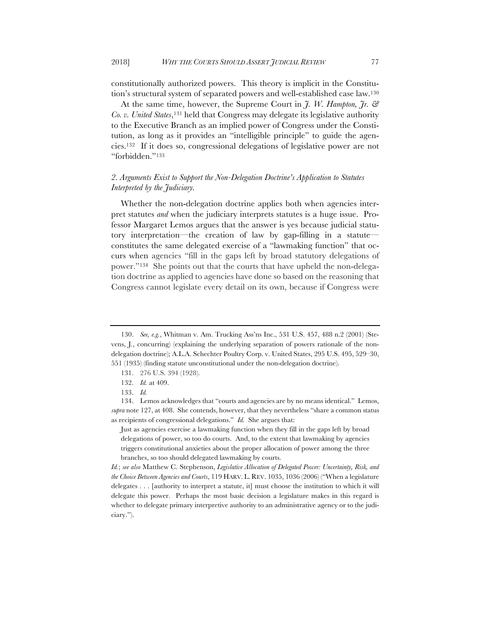constitutionally authorized powers. This theory is implicit in the Constitution's structural system of separated powers and well-established case law.130

At the same time, however, the Supreme Court in *J. W. Hampton, Jr. & Co. v. United States*,131 held that Congress may delegate its legislative authority to the Executive Branch as an implied power of Congress under the Constitution, as long as it provides an "intelligible principle" to guide the agencies.132 If it does so, congressional delegations of legislative power are not "forbidden."133

# *2. Arguments Exist to Support the Non-Delegation Doctrine's Application to Statutes Interpreted by the Judiciary.*

Whether the non-delegation doctrine applies both when agencies interpret statutes *and* when the judiciary interprets statutes is a huge issue. Professor Margaret Lemos argues that the answer is yes because judicial statutory interpretation—the creation of law by gap-filling in a statute constitutes the same delegated exercise of a "lawmaking function" that occurs when agencies "fill in the gaps left by broad statutory delegations of power."134 She points out that the courts that have upheld the non-delegation doctrine as applied to agencies have done so based on the reasoning that Congress cannot legislate every detail on its own, because if Congress were

<sup>130.</sup> *See, e.g.*, Whitman v. Am. Trucking Ass'ns Inc., 531 U.S. 457, 488 n.2 (2001) (Stevens, J., concurring) (explaining the underlying separation of powers rationale of the nondelegation doctrine); A.L.A. Schechter Poultry Corp. v. United States, 295 U.S. 495, 529–30, 551 (1935) (finding statute unconstitutional under the non-delegation doctrine).

<sup>131.</sup> 276 U.S. 394 (1928).

<sup>132.</sup> *Id.* at 409.

<sup>133.</sup> *Id.*

<sup>134.</sup> Lemos acknowledges that "courts and agencies are by no means identical." Lemos, *supra* note 127, at 408. She contends, however, that they nevertheless "share a common status as recipients of congressional delegations." *Id.* She argues that:

Just as agencies exercise a lawmaking function when they fill in the gaps left by broad delegations of power, so too do courts. And, to the extent that lawmaking by agencies triggers constitutional anxieties about the proper allocation of power among the three branches, so too should delegated lawmaking by courts.

*Id.*; *see also* Matthew C. Stephenson, *Legislative Allocation of Delegated Power: Uncertainty, Risk, and the Choice Between Agencies and Courts*, 119 HARV. L. REV. 1035, 1036 (2006) ("When a legislature delegates . . . [authority to interpret a statute, it] must choose the institution to which it will delegate this power. Perhaps the most basic decision a legislature makes in this regard is whether to delegate primary interpretive authority to an administrative agency or to the judiciary.").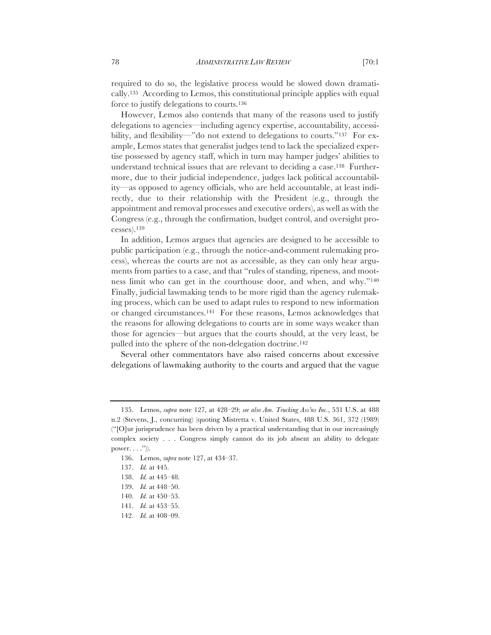required to do so, the legislative process would be slowed down dramatically.135 According to Lemos, this constitutional principle applies with equal force to justify delegations to courts.136

However, Lemos also contends that many of the reasons used to justify delegations to agencies—including agency expertise, accountability, accessibility, and flexibility—"do not extend to delegations to courts."<sup>137</sup> For example, Lemos states that generalist judges tend to lack the specialized expertise possessed by agency staff, which in turn may hamper judges' abilities to understand technical issues that are relevant to deciding a case.138 Furthermore, due to their judicial independence, judges lack political accountability—as opposed to agency officials, who are held accountable, at least indirectly, due to their relationship with the President (e.g., through the appointment and removal processes and executive orders), as well as with the Congress (e.g., through the confirmation, budget control, and oversight processes).139

In addition, Lemos argues that agencies are designed to be accessible to public participation (e.g., through the notice-and-comment rulemaking process), whereas the courts are not as accessible, as they can only hear arguments from parties to a case, and that "rules of standing, ripeness, and mootness limit who can get in the courthouse door, and when, and why."140 Finally, judicial lawmaking tends to be more rigid than the agency rulemaking process, which can be used to adapt rules to respond to new information or changed circumstances.141 For these reasons, Lemos acknowledges that the reasons for allowing delegations to courts are in some ways weaker than those for agencies—but argues that the courts should, at the very least, be pulled into the sphere of the non-delegation doctrine.142

Several other commentators have also raised concerns about excessive delegations of lawmaking authority to the courts and argued that the vague

<sup>135.</sup> Lemos, *supra* note 127, at 428–29; *see also Am. Trucking Ass'ns Inc.*, 531 U.S. at 488 n.2 (Stevens, J., concurring) (quoting Mistretta v. United States, 488 U.S. 361, 372 (1989) ("[O]ur jurisprudence has been driven by a practical understanding that in our increasingly complex society . . . Congress simply cannot do its job absent an ability to delegate power.  $\ldots$ .")).

<sup>136.</sup> Lemos, *supra* note 127, at 434–37.

<sup>137.</sup> *Id.* at 445.

<sup>138.</sup> *Id.* at 445–48.

<sup>139.</sup> *Id.* at 448–50.

<sup>140.</sup> *Id.* at 450–53.

<sup>141.</sup> *Id.* at 453–55.

<sup>142.</sup> *Id.* at 408–09.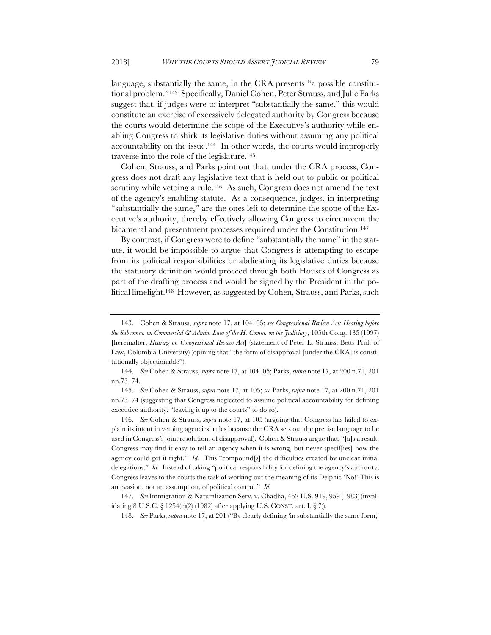language, substantially the same, in the CRA presents "a possible constitutional problem."143 Specifically, Daniel Cohen, Peter Strauss, and Julie Parks suggest that, if judges were to interpret "substantially the same," this would constitute an exercise of excessively delegated authority by Congress because the courts would determine the scope of the Executive's authority while enabling Congress to shirk its legislative duties without assuming any political accountability on the issue.144 In other words, the courts would improperly traverse into the role of the legislature.145

Cohen, Strauss, and Parks point out that, under the CRA process, Congress does not draft any legislative text that is held out to public or political scrutiny while vetoing a rule.<sup>146</sup> As such, Congress does not amend the text of the agency's enabling statute. As a consequence, judges, in interpreting "substantially the same," are the ones left to determine the scope of the Executive's authority, thereby effectively allowing Congress to circumvent the bicameral and presentment processes required under the Constitution.<sup>147</sup>

By contrast, if Congress were to define "substantially the same" in the statute, it would be impossible to argue that Congress is attempting to escape from its political responsibilities or abdicating its legislative duties because the statutory definition would proceed through both Houses of Congress as part of the drafting process and would be signed by the President in the political limelight.148 However, as suggested by Cohen, Strauss, and Parks, such

144. *See* Cohen & Strauss, *supra* note 17, at 104–05; Parks, *supra* note 17, at 200 n.71, 201 nn.73–74.

145. *See* Cohen & Strauss, *supra* note 17, at 105; *see* Parks, *supra* note 17, at 200 n.71, 201 nn.73–74 (suggesting that Congress neglected to assume political accountability for defining executive authority, "leaving it up to the courts" to do so).

146. *See* Cohen & Strauss, *supra* note 17, at 105 (arguing that Congress has failed to explain its intent in vetoing agencies' rules because the CRA sets out the precise language to be used in Congress's joint resolutions of disapproval). Cohen & Strauss argue that, "[a]s a result, Congress may find it easy to tell an agency when it is wrong, but never specif[ies] how the agency could get it right." *Id.* This "compound[s] the difficulties created by unclear initial delegations." *Id.* Instead of taking "political responsibility for defining the agency's authority, Congress leaves to the courts the task of working out the meaning of its Delphic 'No!' This is an evasion, not an assumption, of political control." *Id.*

147. *See* Immigration & Naturalization Serv. v. Chadha, 462 U.S. 919, 959 (1983) (invalidating 8 U.S.C.  $\S$  1254(c)(2) (1982) after applying U.S. CONST. art. I,  $\S$  7)).

148. *See* Parks, *supra* note 17, at 201 ("By clearly defining 'in substantially the same form,'

<sup>143.</sup> Cohen & Strauss, *supra* note 17, at 104–05; *see Congressional Review Act: Hearing before the Subcomm. on Commercial & Admin. Law of the H. Comm. on the Judiciary*, 105th Cong. 135 (1997) [hereinafter, *Hearing on Congressional Review Act*] (statement of Peter L. Strauss, Betts Prof. of Law, Columbia University) (opining that "the form of disapproval [under the CRA] is constitutionally objectionable").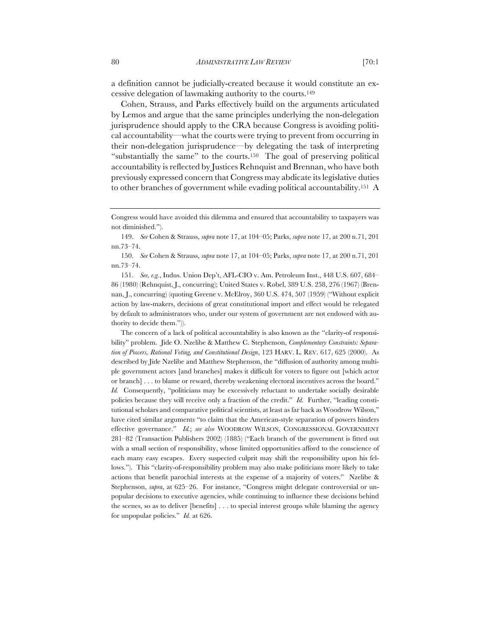a definition cannot be judicially-created because it would constitute an excessive delegation of lawmaking authority to the courts.149

Cohen, Strauss, and Parks effectively build on the arguments articulated by Lemos and argue that the same principles underlying the non-delegation jurisprudence should apply to the CRA because Congress is avoiding political accountability—what the courts were trying to prevent from occurring in their non-delegation jurisprudence—by delegating the task of interpreting "substantially the same" to the courts.150 The goal of preserving political accountability is reflected by Justices Rehnquist and Brennan, who have both previously expressed concern that Congress may abdicate its legislative duties to other branches of government while evading political accountability.151 A

The concern of a lack of political accountability is also known as the "clarity-of responsibility" problem. Jide O. Nzelibe & Matthew C. Stephenson, *Complementary Constraints: Separation of Powers, Rational Voting, and Constitutional Design*, 123 HARV. L. REV. 617, 625 (2000). As described by Jide Nzelibe and Matthew Stephenson, the "diffusion of authority among multiple government actors [and branches] makes it difficult for voters to figure out [which actor or branch] . . . to blame or reward, thereby weakening electoral incentives across the board." *Id.* Consequently, "politicians may be excessively reluctant to undertake socially desirable policies because they will receive only a fraction of the credit." *Id.* Further, "leading constitutional scholars and comparative political scientists, at least as far back as Woodrow Wilson," have cited similar arguments "to claim that the American-style separation of powers hinders effective governance." *Id.*; *see also* WOODROW WILSON, CONGRESSIONAL GOVERNMENT 281–82 (Transaction Publishers 2002) (1885) ("Each branch of the government is fitted out with a small section of responsibility, whose limited opportunities afford to the conscience of each many easy escapes. Every suspected culprit may shift the responsibility upon his fellows."). This "clarity-of-responsibility problem may also make politicians more likely to take actions that benefit parochial interests at the expense of a majority of voters." Nzelibe & Stephenson, *supra*, at 625–26. For instance, "Congress might delegate controversial or unpopular decisions to executive agencies, while continuing to influence these decisions behind the scenes, so as to deliver [benefits] . . . to special interest groups while blaming the agency for unpopular policies." *Id.* at 626.

Congress would have avoided this dilemma and ensured that accountability to taxpayers was not diminished.").

<sup>149.</sup> *See* Cohen & Strauss, *supra* note 17, at 104–05; Parks, *supra* note 17, at 200 n.71, 201 nn.73–74.

<sup>150.</sup> *See* Cohen & Strauss, *supra* note 17, at 104–05; Parks, *supra* note 17, at 200 n.71, 201 nn.73–74.

<sup>151.</sup> *See, e.g.*, Indus. Union Dep't, AFL-CIO v. Am. Petroleum Inst., 448 U.S. 607, 684– 86 (1980) (Rehnquist, J., concurring); United States v. Robel, 389 U.S. 258, 276 (1967) (Brennan, J., concurring) (quoting Greene v. McElroy, 360 U.S. 474, 507 (1959) ("Without explicit action by law-makers, decisions of great constitutional import and effect would be relegated by default to administrators who, under our system of government are not endowed with authority to decide them.")).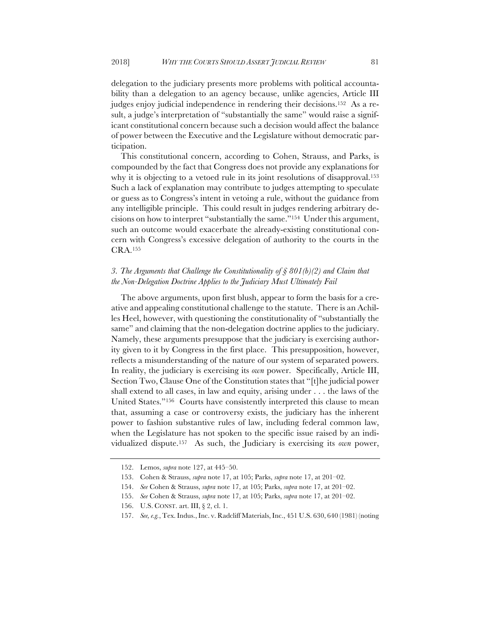delegation to the judiciary presents more problems with political accountability than a delegation to an agency because, unlike agencies, Article III judges enjoy judicial independence in rendering their decisions.152 As a result, a judge's interpretation of "substantially the same" would raise a significant constitutional concern because such a decision would affect the balance of power between the Executive and the Legislature without democratic participation.

This constitutional concern, according to Cohen, Strauss, and Parks, is compounded by the fact that Congress does not provide any explanations for why it is objecting to a vetoed rule in its joint resolutions of disapproval.<sup>153</sup> Such a lack of explanation may contribute to judges attempting to speculate or guess as to Congress's intent in vetoing a rule, without the guidance from any intelligible principle. This could result in judges rendering arbitrary decisions on how to interpret "substantially the same."154 Under this argument, such an outcome would exacerbate the already-existing constitutional concern with Congress's excessive delegation of authority to the courts in the CRA.155

### *3. The Arguments that Challenge the Constitutionality of § 801(b)(2) and Claim that the Non-Delegation Doctrine Applies to the Judiciary Must Ultimately Fail*

The above arguments, upon first blush, appear to form the basis for a creative and appealing constitutional challenge to the statute. There is an Achilles Heel, however, with questioning the constitutionality of "substantially the same" and claiming that the non-delegation doctrine applies to the judiciary. Namely, these arguments presuppose that the judiciary is exercising authority given to it by Congress in the first place. This presupposition, however, reflects a misunderstanding of the nature of our system of separated powers. In reality, the judiciary is exercising its *own* power. Specifically, Article III, Section Two, Clause One of the Constitution states that "[t]he judicial power shall extend to all cases, in law and equity, arising under . . . the laws of the United States."156 Courts have consistently interpreted this clause to mean that, assuming a case or controversy exists, the judiciary has the inherent power to fashion substantive rules of law, including federal common law, when the Legislature has not spoken to the specific issue raised by an individualized dispute.157 As such, the Judiciary is exercising its *own* power,

<sup>152.</sup> Lemos, *supra* note 127, at 445–50.

<sup>153.</sup> Cohen & Strauss, *supra* note 17, at 105; Parks, *supra* note 17, at 201–02.

<sup>154.</sup> *See* Cohen & Strauss, *supra* note 17, at 105; Parks, *supra* note 17, at 201–02.

<sup>155.</sup> *See* Cohen & Strauss, *supra* note 17, at 105; Parks, *supra* note 17, at 201–02.

<sup>156.</sup> U.S. CONST. art. III, § 2, cl. 1.

<sup>157.</sup> *See, e.g.*, Tex. Indus., Inc. v. Radcliff Materials, Inc., 451 U.S. 630, 640 (1981) (noting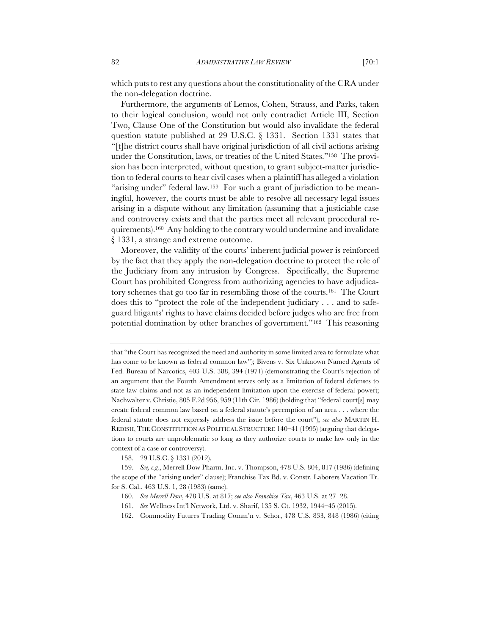which puts to rest any questions about the constitutionality of the CRA under the non-delegation doctrine.

Furthermore, the arguments of Lemos, Cohen, Strauss, and Parks, taken to their logical conclusion, would not only contradict Article III, Section Two, Clause One of the Constitution but would also invalidate the federal question statute published at 29 U.S.C. § 1331. Section 1331 states that "[t]he district courts shall have original jurisdiction of all civil actions arising under the Constitution, laws, or treaties of the United States."158 The provision has been interpreted, without question, to grant subject-matter jurisdiction to federal courts to hear civil cases when a plaintiff has alleged a violation "arising under" federal law.159 For such a grant of jurisdiction to be meaningful, however, the courts must be able to resolve all necessary legal issues arising in a dispute without any limitation (assuming that a justiciable case and controversy exists and that the parties meet all relevant procedural requirements).160 Any holding to the contrary would undermine and invalidate § 1331, a strange and extreme outcome.

Moreover, the validity of the courts' inherent judicial power is reinforced by the fact that they apply the non-delegation doctrine to protect the role of the Judiciary from any intrusion by Congress. Specifically, the Supreme Court has prohibited Congress from authorizing agencies to have adjudicatory schemes that go too far in resembling those of the courts.161 The Court does this to "protect the role of the independent judiciary . . . and to safeguard litigants' rights to have claims decided before judges who are free from potential domination by other branches of government."162 This reasoning

158. 29 U.S.C. § 1331 (2012).

159. *See, e.g.*, Merrell Dow Pharm. Inc. v. Thompson, 478 U.S. 804, 817 (1986) (defining the scope of the "arising under" clause); Franchise Tax Bd. v. Constr. Laborers Vacation Tr. for S. Cal., 463 U.S. 1, 28 (1983) (same).

that "the Court has recognized the need and authority in some limited area to formulate what has come to be known as federal common law"); Bivens v. Six Unknown Named Agents of Fed. Bureau of Narcotics, 403 U.S. 388, 394 (1971) (demonstrating the Court's rejection of an argument that the Fourth Amendment serves only as a limitation of federal defenses to state law claims and not as an independent limitation upon the exercise of federal power); Nachwalter v. Christie, 805 F.2d 956, 959 (11th Cir. 1986) (holding that "federal court[s] may create federal common law based on a federal statute's preemption of an area . . . where the federal statute does not expressly address the issue before the court"); *see also* MARTIN H. REDISH, THE CONSTITUTION AS POLITICAL STRUCTURE 140–41 (1995) (arguing that delegations to courts are unproblematic so long as they authorize courts to make law only in the context of a case or controversy).

<sup>160.</sup> *See Merrell Dow*, 478 U.S. at 817; *see also Franchise Tax*, 463 U.S. at 27–28.

<sup>161.</sup> *See* Wellness Int'l Network, Ltd. v. Sharif, 135 S. Ct. 1932, 1944–45 (2015).

<sup>162.</sup> Commodity Futures Trading Comm'n v. Schor, 478 U.S. 833, 848 (1986) (citing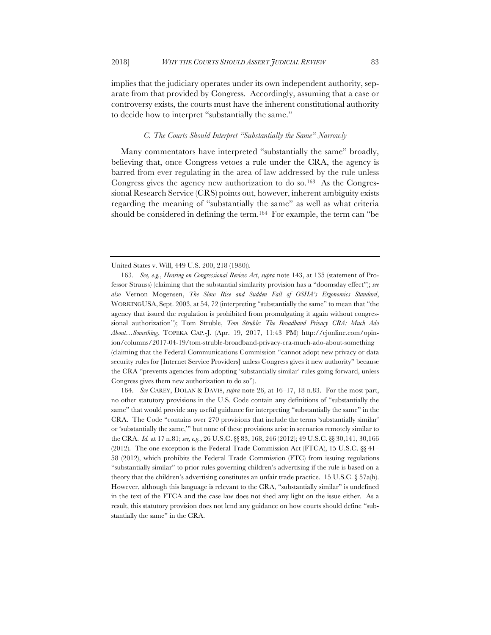implies that the judiciary operates under its own independent authority, separate from that provided by Congress. Accordingly, assuming that a case or controversy exists, the courts must have the inherent constitutional authority to decide how to interpret "substantially the same."

#### *C. The Courts Should Interpret "Substantially the Same" Narrowly*

Many commentators have interpreted "substantially the same" broadly, believing that, once Congress vetoes a rule under the CRA, the agency is barred from ever regulating in the area of law addressed by the rule unless Congress gives the agency new authorization to do so.163 As the Congressional Research Service (CRS) points out, however, inherent ambiguity exists regarding the meaning of "substantially the same" as well as what criteria should be considered in defining the term.164 For example, the term can "be

United States v. Will, 449 U.S. 200, 218 (1980)).

<sup>163.</sup> *See, e.g.*, *Hearing on Congressional Review Act*, *supra* note 143, at 135 (statement of Professor Strauss) (claiming that the substantial similarity provision has a "doomsday effect"); *see also* Vernon Mogensen, *The Slow Rise and Sudden Fall of OSHA's Ergonomics Standard*, WORKINGUSA, Sept. 2003, at 54, 72 (interpreting "substantially the same" to mean that "the agency that issued the regulation is prohibited from promulgating it again without congressional authorization"); Tom Struble, *Tom Struble: The Broadband Privacy CRA: Much Ado About…Something*, TOPEKA CAP.-J. (Apr. 19, 2017, 11:43 PM) http://cjonline.com/opinion/columns/2017-04-19/tom-struble-broadband-privacy-cra-much-ado-about-something (claiming that the Federal Communications Commission "cannot adopt new privacy or data security rules for [Internet Service Providers] unless Congress gives it new authority" because the CRA "prevents agencies from adopting 'substantially similar' rules going forward, unless Congress gives them new authorization to do so").

<sup>164.</sup> *See* CAREY, DOLAN & DAVIS, *supra* note 26, at 16–17, 18 n.83. For the most part, no other statutory provisions in the U.S. Code contain any definitions of "substantially the same" that would provide any useful guidance for interpreting "substantially the same" in the CRA. The Code "contains over 270 provisions that include the terms 'substantially similar' or 'substantially the same,'" but none of these provisions arise in scenarios remotely similar to the CRA. *Id.* at 17 n.81; *see, e.g.*, 26 U.S.C. §§ 83, 168, 246 (2012); 49 U.S.C. §§ 30,141, 30,166  $(2012)$ . The one exception is the Federal Trade Commission Act (FTCA), 15 U.S.C.  $\&$  41– 58 (2012), which prohibits the Federal Trade Commission (FTC) from issuing regulations "substantially similar" to prior rules governing children's advertising if the rule is based on a theory that the children's advertising constitutes an unfair trade practice. 15 U.S.C. § 57a(h). However, although this language is relevant to the CRA, "substantially similar" is undefined in the text of the FTCA and the case law does not shed any light on the issue either. As a result, this statutory provision does not lend any guidance on how courts should define "substantially the same" in the CRA.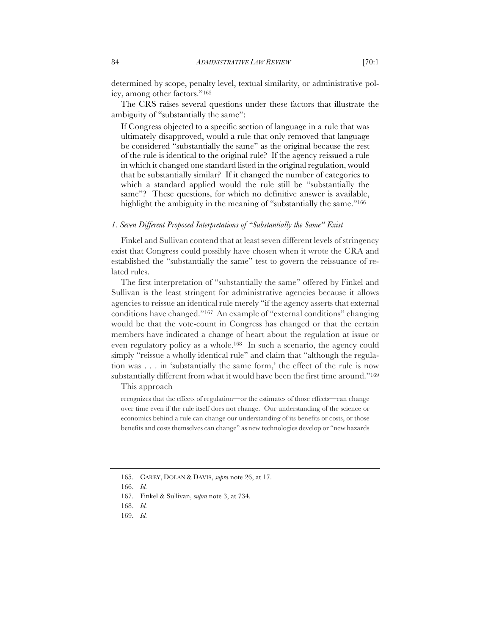determined by scope, penalty level, textual similarity, or administrative policy, among other factors."165

The CRS raises several questions under these factors that illustrate the ambiguity of "substantially the same":

If Congress objected to a specific section of language in a rule that was ultimately disapproved, would a rule that only removed that language be considered "substantially the same" as the original because the rest of the rule is identical to the original rule? If the agency reissued a rule in which it changed one standard listed in the original regulation, would that be substantially similar? If it changed the number of categories to which a standard applied would the rule still be "substantially the same"? These questions, for which no definitive answer is available, highlight the ambiguity in the meaning of "substantially the same."<sup>166</sup>

### *1. Seven Different Proposed Interpretations of "Substantially the Same" Exist*

Finkel and Sullivan contend that at least seven different levels of stringency exist that Congress could possibly have chosen when it wrote the CRA and established the "substantially the same" test to govern the reissuance of related rules.

The first interpretation of "substantially the same" offered by Finkel and Sullivan is the least stringent for administrative agencies because it allows agencies to reissue an identical rule merely "if the agency asserts that external conditions have changed."167 An example of "external conditions" changing would be that the vote-count in Congress has changed or that the certain members have indicated a change of heart about the regulation at issue or even regulatory policy as a whole.168 In such a scenario, the agency could simply "reissue a wholly identical rule" and claim that "although the regulation was . . . in 'substantially the same form,' the effect of the rule is now substantially different from what it would have been the first time around."169

This approach

recognizes that the effects of regulation—or the estimates of those effects—can change over time even if the rule itself does not change. Our understanding of the science or economics behind a rule can change our understanding of its benefits or costs, or those benefits and costs themselves can change" as new technologies develop or "new hazards

<sup>165.</sup> CAREY, DOLAN & DAVIS, *supra* note 26, at 17.

<sup>166.</sup> *Id.*

<sup>167.</sup> Finkel & Sullivan, s*upra* note 3, at 734.

<sup>168.</sup> *Id.*

<sup>169.</sup> *Id.*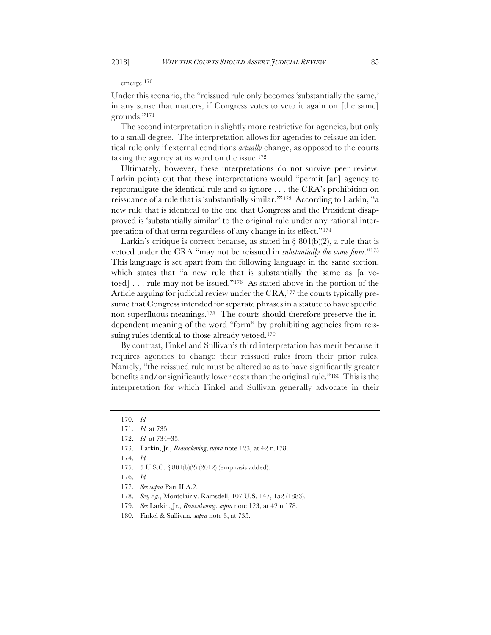#### emerge.170

Under this scenario, the "reissued rule only becomes 'substantially the same,' in any sense that matters, if Congress votes to veto it again on [the same] grounds."171

The second interpretation is slightly more restrictive for agencies, but only to a small degree. The interpretation allows for agencies to reissue an identical rule only if external conditions *actually* change, as opposed to the courts taking the agency at its word on the issue.172

Ultimately, however, these interpretations do not survive peer review. Larkin points out that these interpretations would "permit [an] agency to repromulgate the identical rule and so ignore . . . the CRA's prohibition on reissuance of a rule that is 'substantially similar.'"173 According to Larkin, "a new rule that is identical to the one that Congress and the President disapproved is 'substantially similar' to the original rule under any rational interpretation of that term regardless of any change in its effect."174

Larkin's critique is correct because, as stated in  $\S 801(b)(2)$ , a rule that is vetoed under the CRA "may not be reissued in *substantially the same form*."175 This language is set apart from the following language in the same section, which states that "a new rule that is substantially the same as [a vetoed] . . . rule may not be issued."<sup>176</sup> As stated above in the portion of the Article arguing for judicial review under the CRA,<sup>177</sup> the courts typically presume that Congress intended for separate phrases in a statute to have specific, non-superfluous meanings.178 The courts should therefore preserve the independent meaning of the word "form" by prohibiting agencies from reissuing rules identical to those already vetoed.<sup>179</sup>

By contrast, Finkel and Sullivan's third interpretation has merit because it requires agencies to change their reissued rules from their prior rules. Namely, "the reissued rule must be altered so as to have significantly greater benefits and/or significantly lower costs than the original rule."180 This is the interpretation for which Finkel and Sullivan generally advocate in their

175. 5 U.S.C. § 801(b)(2) (2012) (emphasis added).

- 177. *See supra* Part II.A.2.
- 178. *See, e.g.*, Montclair v. Ramsdell, 107 U.S. 147, 152 (1883).
- 179. *See* Larkin, Jr., *Reawakening*, *supra* note 123, at 42 n.178.
- 180. Finkel & Sullivan, s*upra* note 3, at 735.

<sup>170.</sup> *Id.*

<sup>171.</sup> *Id.* at 735.

<sup>172.</sup> *Id.* at 734–35.

<sup>173.</sup> Larkin, Jr., *Reawakening*, *supra* note 123, at 42 n.178.

<sup>174.</sup> *Id.*

<sup>176.</sup> *Id.*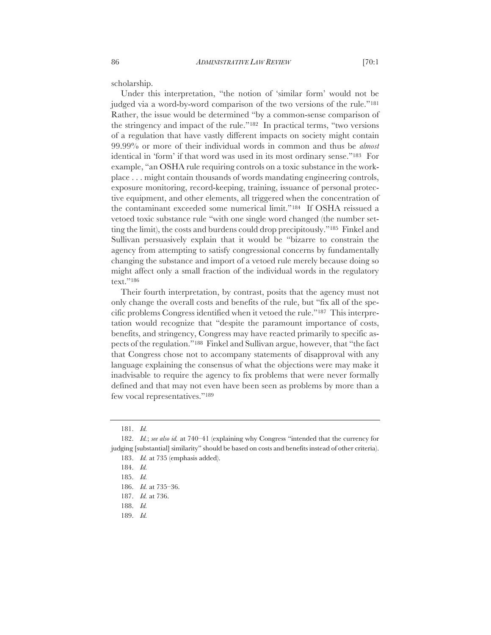scholarship.

Under this interpretation, "the notion of 'similar form' would not be judged via a word-by-word comparison of the two versions of the rule."<sup>181</sup> Rather, the issue would be determined "by a common-sense comparison of the stringency and impact of the rule."182 In practical terms, "two versions of a regulation that have vastly different impacts on society might contain 99.99% or more of their individual words in common and thus be *almost* identical in 'form' if that word was used in its most ordinary sense."183 For example, "an OSHA rule requiring controls on a toxic substance in the workplace . . . might contain thousands of words mandating engineering controls, exposure monitoring, record-keeping, training, issuance of personal protective equipment, and other elements, all triggered when the concentration of the contaminant exceeded some numerical limit."184 If OSHA reissued a vetoed toxic substance rule "with one single word changed (the number setting the limit), the costs and burdens could drop precipitously."185 Finkel and Sullivan persuasively explain that it would be "bizarre to constrain the agency from attempting to satisfy congressional concerns by fundamentally changing the substance and import of a vetoed rule merely because doing so might affect only a small fraction of the individual words in the regulatory text."186

Their fourth interpretation, by contrast, posits that the agency must not only change the overall costs and benefits of the rule, but "fix all of the specific problems Congress identified when it vetoed the rule."187 This interpretation would recognize that "despite the paramount importance of costs, benefits, and stringency, Congress may have reacted primarily to specific aspects of the regulation."188 Finkel and Sullivan argue, however, that "the fact that Congress chose not to accompany statements of disapproval with any language explaining the consensus of what the objections were may make it inadvisable to require the agency to fix problems that were never formally defined and that may not even have been seen as problems by more than a few vocal representatives."189

189. *Id.*

<sup>181.</sup> *Id.*

<sup>182.</sup> *Id.*; *see also id.* at 740–41 (explaining why Congress "intended that the currency for judging [substantial] similarity" should be based on costs and benefits instead of other criteria). 183. *Id.* at 735 (emphasis added).

<sup>184.</sup> *Id.*

<sup>185.</sup> *Id.*

<sup>186.</sup> *Id.* at 735–36.

<sup>187.</sup> *Id.* at 736.

<sup>188.</sup> *Id.*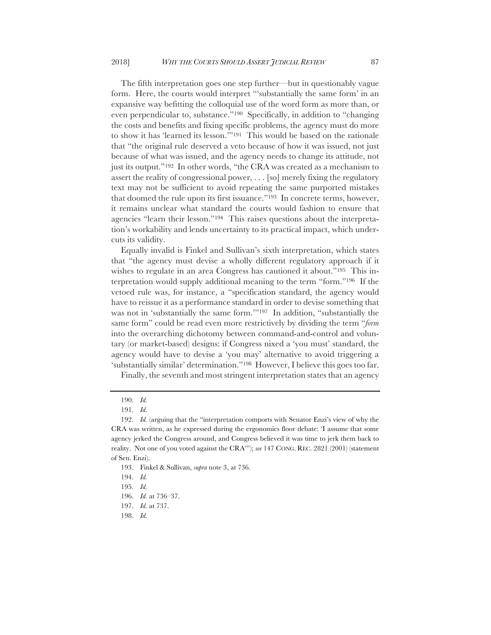The fifth interpretation goes one step further—but in questionably vague form. Here, the courts would interpret "'substantially the same form' in an expansive way befitting the colloquial use of the word form as more than, or even perpendicular to, substance."190 Specifically, in addition to "changing the costs and benefits and fixing specific problems, the agency must do more to show it has 'learned its lesson.'"191 This would be based on the rationale that "the original rule deserved a veto because of how it was issued, not just

because of what was issued, and the agency needs to change its attitude, not just its output."192 In other words, "the CRA was created as a mechanism to assert the reality of congressional power, . . . [so] merely fixing the regulatory text may not be sufficient to avoid repeating the same purported mistakes that doomed the rule upon its first issuance."193 In concrete terms, however, it remains unclear what standard the courts would fashion to ensure that agencies "learn their lesson."194 This raises questions about the interpretation's workability and lends uncertainty to its practical impact, which undercuts its validity.

Equally invalid is Finkel and Sullivan's sixth interpretation, which states that "the agency must devise a wholly different regulatory approach if it wishes to regulate in an area Congress has cautioned it about."<sup>195</sup> This interpretation would supply additional meaning to the term "form."196 If the vetoed rule was, for instance, a "specification standard, the agency would have to reissue it as a performance standard in order to devise something that was not in 'substantially the same form.'"197 In addition, "substantially the same form" could be read even more restrictively by dividing the term "*form* into the overarching dichotomy between command-and-control and voluntary (or market-based) designs: if Congress nixed a 'you must' standard, the agency would have to devise a 'you may' alternative to avoid triggering a 'substantially similar' determination."198 However, I believe this goes too far.

Finally, the seventh and most stringent interpretation states that an agency

193. Finkel & Sullivan, *supra* note 3, at 736.

198. *Id.*

<sup>190.</sup> *Id.*

<sup>191.</sup> *Id.*

<sup>192.</sup> *Id.* (arguing that the "interpretation comports with Senator Enzi's view of why the CRA was written, as he expressed during the ergonomics floor debate: 'I assume that some agency jerked the Congress around, and Congress believed it was time to jerk them back to reality. Not one of you voted against the CRA'"); *see* 147 CONG. REC. 2821 (2001) (statement of Sen. Enzi).

<sup>194.</sup> *Id.*

<sup>195.</sup> *Id.*

<sup>196.</sup> *Id.* at 736–37.

<sup>197.</sup> *Id.* at 737.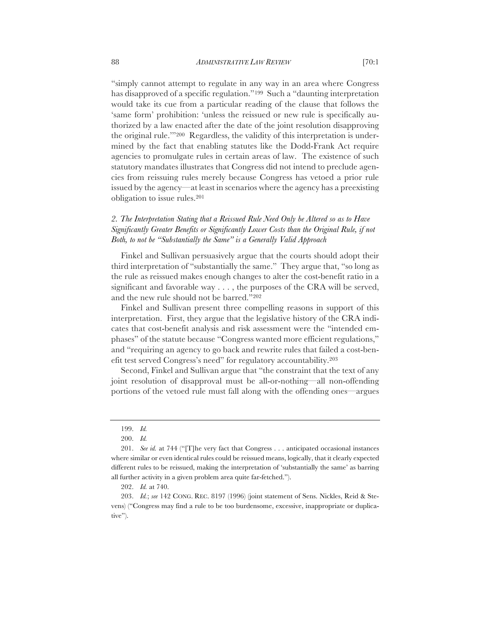"simply cannot attempt to regulate in any way in an area where Congress has disapproved of a specific regulation."199 Such a "daunting interpretation would take its cue from a particular reading of the clause that follows the 'same form' prohibition: 'unless the reissued or new rule is specifically authorized by a law enacted after the date of the joint resolution disapproving the original rule.'"200 Regardless, the validity of this interpretation is undermined by the fact that enabling statutes like the Dodd-Frank Act require agencies to promulgate rules in certain areas of law. The existence of such statutory mandates illustrates that Congress did not intend to preclude agencies from reissuing rules merely because Congress has vetoed a prior rule issued by the agency—at least in scenarios where the agency has a preexisting obligation to issue rules.201

# *2. The Interpretation Stating that a Reissued Rule Need Only be Altered so as to Have Significantly Greater Benefits or Significantly Lower Costs than the Original Rule, if not Both, to not be "Substantially the Same" is a Generally Valid Approach*

Finkel and Sullivan persuasively argue that the courts should adopt their third interpretation of "substantially the same." They argue that, "so long as the rule as reissued makes enough changes to alter the cost-benefit ratio in a significant and favorable way  $\dots$ , the purposes of the CRA will be served, and the new rule should not be barred."202

Finkel and Sullivan present three compelling reasons in support of this interpretation. First, they argue that the legislative history of the CRA indicates that cost-benefit analysis and risk assessment were the "intended emphases" of the statute because "Congress wanted more efficient regulations," and "requiring an agency to go back and rewrite rules that failed a cost-benefit test served Congress's need" for regulatory accountability.203

Second, Finkel and Sullivan argue that "the constraint that the text of any joint resolution of disapproval must be all-or-nothing—all non-offending portions of the vetoed rule must fall along with the offending ones—argues

<sup>199.</sup> *Id.*

<sup>200.</sup> *Id.*

<sup>201.</sup> *See id.* at 744 ("[T]he very fact that Congress . . . anticipated occasional instances where similar or even identical rules could be reissued means, logically, that it clearly expected different rules to be reissued, making the interpretation of 'substantially the same' as barring all further activity in a given problem area quite far-fetched.").

<sup>202.</sup> *Id.* at 740.

<sup>203.</sup> *Id.*; *see* 142 CONG. REC. 8197 (1996) (joint statement of Sens. Nickles, Reid & Stevens) ("Congress may find a rule to be too burdensome, excessive, inappropriate or duplicative").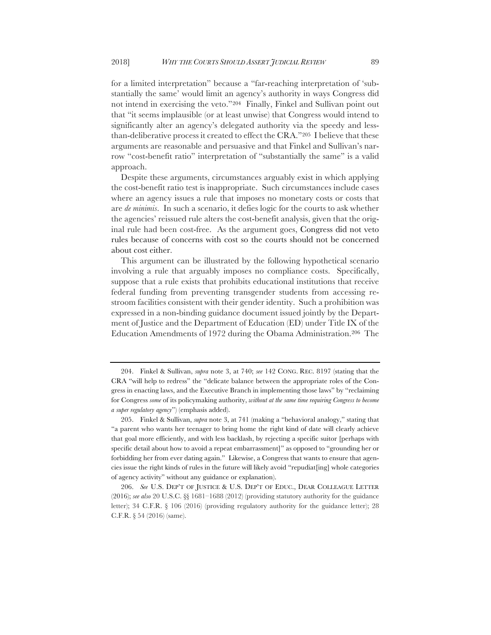for a limited interpretation" because a "far-reaching interpretation of 'substantially the same' would limit an agency's authority in ways Congress did not intend in exercising the veto."204 Finally, Finkel and Sullivan point out that "it seems implausible (or at least unwise) that Congress would intend to significantly alter an agency's delegated authority via the speedy and lessthan-deliberative process it created to effect the CRA."205 I believe that these arguments are reasonable and persuasive and that Finkel and Sullivan's narrow "cost-benefit ratio" interpretation of "substantially the same" is a valid approach.

Despite these arguments, circumstances arguably exist in which applying the cost-benefit ratio test is inappropriate. Such circumstances include cases where an agency issues a rule that imposes no monetary costs or costs that are *de minimis*. In such a scenario, it defies logic for the courts to ask whether the agencies' reissued rule alters the cost-benefit analysis, given that the original rule had been cost-free. As the argument goes, Congress did not veto rules because of concerns with cost so the courts should not be concerned about cost either.

This argument can be illustrated by the following hypothetical scenario involving a rule that arguably imposes no compliance costs. Specifically, suppose that a rule exists that prohibits educational institutions that receive federal funding from preventing transgender students from accessing restroom facilities consistent with their gender identity. Such a prohibition was expressed in a non-binding guidance document issued jointly by the Department of Justice and the Department of Education (ED) under Title IX of the Education Amendments of 1972 during the Obama Administration.206 The

<sup>204.</sup> Finkel & Sullivan, *supra* note 3, at 740; *see* 142 CONG. REC. 8197 (stating that the CRA "will help to redress" the "delicate balance between the appropriate roles of the Congress in enacting laws, and the Executive Branch in implementing those laws" by "reclaiming for Congress *some* of its policymaking authority, *without at the same time requiring Congress to become a super regulatory agency*") (emphasis added).

<sup>205.</sup> Finkel & Sullivan, *supra* note 3, at 741 (making a "behavioral analogy," stating that "a parent who wants her teenager to bring home the right kind of date will clearly achieve that goal more efficiently, and with less backlash, by rejecting a specific suitor [perhaps with specific detail about how to avoid a repeat embarrassment]" as opposed to "grounding her or forbidding her from ever dating again." Likewise, a Congress that wants to ensure that agencies issue the right kinds of rules in the future will likely avoid "repudiat[ing] whole categories of agency activity" without any guidance or explanation).

<sup>206.</sup> *See* U.S. DEP'T OF JUSTICE & U.S. DEP'T OF EDUC., DEAR COLLEAGUE LETTER (2016); *see also* 20 U.S.C. §§ 1681–1688 (2012) (providing statutory authority for the guidance letter); 34 C.F.R. § 106 (2016) (providing regulatory authority for the guidance letter); 28 C.F.R. § 54 (2016) (same).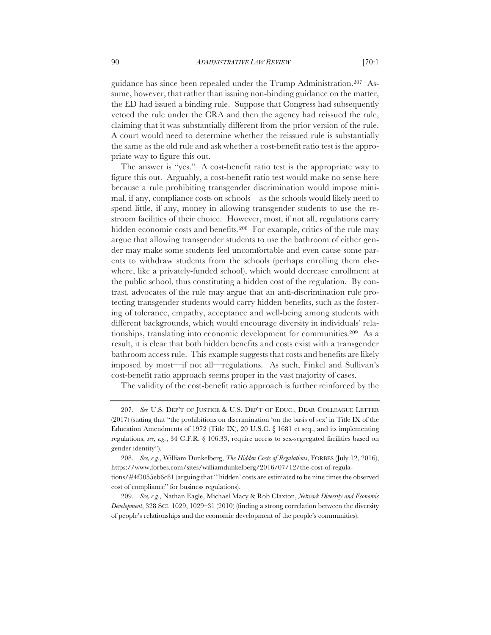guidance has since been repealed under the Trump Administration.207 Assume, however, that rather than issuing non-binding guidance on the matter, the ED had issued a binding rule. Suppose that Congress had subsequently vetoed the rule under the CRA and then the agency had reissued the rule, claiming that it was substantially different from the prior version of the rule. A court would need to determine whether the reissued rule is substantially the same as the old rule and ask whether a cost-benefit ratio test is the appropriate way to figure this out.

The answer is "yes." A cost-benefit ratio test is the appropriate way to figure this out. Arguably, a cost-benefit ratio test would make no sense here because a rule prohibiting transgender discrimination would impose minimal, if any, compliance costs on schools—as the schools would likely need to spend little, if any, money in allowing transgender students to use the restroom facilities of their choice. However, most, if not all, regulations carry hidden economic costs and benefits.208 For example, critics of the rule may argue that allowing transgender students to use the bathroom of either gender may make some students feel uncomfortable and even cause some parents to withdraw students from the schools (perhaps enrolling them elsewhere, like a privately-funded school), which would decrease enrollment at the public school, thus constituting a hidden cost of the regulation. By contrast, advocates of the rule may argue that an anti-discrimination rule protecting transgender students would carry hidden benefits, such as the fostering of tolerance, empathy, acceptance and well-being among students with different backgrounds, which would encourage diversity in individuals' relationships, translating into economic development for communities.209 As a result, it is clear that both hidden benefits and costs exist with a transgender bathroom access rule. This example suggests that costs and benefits are likely imposed by most—if not all—regulations. As such, Finkel and Sullivan's cost-benefit ratio approach seems proper in the vast majority of cases.

The validity of the cost-benefit ratio approach is further reinforced by the

<sup>207.</sup> *See* U.S. DEP'T OF JUSTICE & U.S. DEP'T OF EDUC., DEAR COLLEAGUE LETTER (2017) (stating that "the prohibitions on discrimination 'on the basis of sex' in Title IX of the Education Amendments of 1972 (Title IX), 20 U.S.C.  $\S$  1681 et seq., and its implementing regulations, *see, e.g.*, 34 C.F.R. § 106.33, require access to sex-segregated facilities based on gender identity").

<sup>208.</sup> *See, e.g.*, William Dunkelberg, *The Hidden Costs of Regulations*, FORBES (July 12, 2016), https://www.forbes.com/sites/williamdunkelberg/2016/07/12/the-cost-of-regulations/#4f3055eb6c81 (arguing that "'hidden' costs are estimated to be nine times the observed cost of compliance" for business regulations).

<sup>209.</sup> *See, e.g.*, Nathan Eagle, Michael Macy & Rob Claxton, *Network Diversity and Economic Development*, 328 SCI. 1029, 1029–31 (2010) (finding a strong correlation between the diversity of people's relationships and the economic development of the people's communities).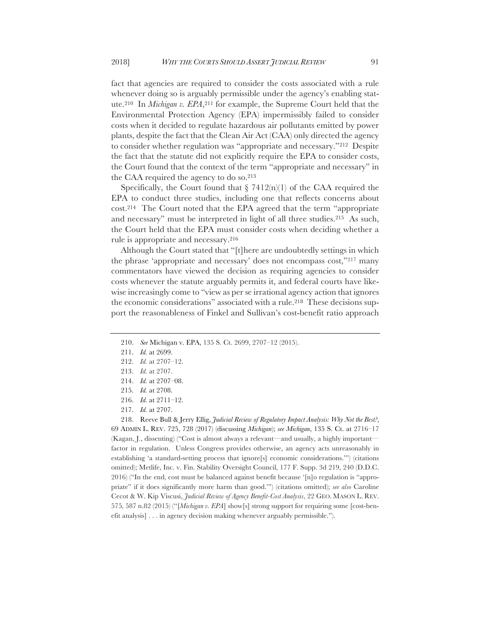fact that agencies are required to consider the costs associated with a rule whenever doing so is arguably permissible under the agency's enabling statute.210 In *Michigan v. EPA*,211 for example, the Supreme Court held that the Environmental Protection Agency (EPA) impermissibly failed to consider costs when it decided to regulate hazardous air pollutants emitted by power plants, despite the fact that the Clean Air Act (CAA) only directed the agency to consider whether regulation was "appropriate and necessary."212 Despite the fact that the statute did not explicitly require the EPA to consider costs, the Court found that the context of the term "appropriate and necessary" in the CAA required the agency to do so.213

Specifically, the Court found that  $\S$  7412(n)(1) of the CAA required the EPA to conduct three studies, including one that reflects concerns about cost.214 The Court noted that the EPA agreed that the term "appropriate and necessary" must be interpreted in light of all three studies.215 As such, the Court held that the EPA must consider costs when deciding whether a rule is appropriate and necessary.216

Although the Court stated that "[t]here are undoubtedly settings in which the phrase 'appropriate and necessary' does not encompass cost,"217 many commentators have viewed the decision as requiring agencies to consider costs whenever the statute arguably permits it, and federal courts have likewise increasingly come to "view as per se irrational agency action that ignores the economic considerations" associated with a rule.218 These decisions support the reasonableness of Finkel and Sullivan's cost-benefit ratio approach

214. *Id.* at 2707–08.

<sup>210.</sup> *See* Michigan v. EPA, 135 S. Ct. 2699, 2707–12 (2015).

<sup>211.</sup> *Id.* at 2699.

<sup>212.</sup> *Id.* at 2707–12.

<sup>213.</sup> *Id.* at 2707.

<sup>215.</sup> *Id.* at 2708.

<sup>216.</sup> *Id.* at 2711–12.

<sup>217.</sup> *Id.* at 2707.

<sup>218.</sup> Reeve Bull & Jerry Ellig, *Judicial Review of Regulatory Impact Analysis: Why Not the Best?*, 69 ADMIN L. REV. 725, 728 (2017) (discussing *Michigan*); *see Michigan*, 135 S. Ct. at 2716–17 (Kagan, J., dissenting) ("Cost is almost always a relevant—and usually, a highly important factor in regulation. Unless Congress provides otherwise, an agency acts unreasonably in establishing 'a standard-setting process that ignore[s] economic considerations.'") (citations omitted); Metlife, Inc. v. Fin. Stability Oversight Council, 177 F. Supp. 3d 219, 240 (D.D.C. 2016) ("In the end, cost must be balanced against benefit because '[n]o regulation is "appropriate" if it does significantly more harm than good.'") (citations omitted); *see also* Caroline Cecot & W. Kip Viscusi, *Judicial Review of Agency Benefit-Cost Analysis*, 22 GEO. MASON L. REV. 575*,* 587 n.82 (2015) ("[*Michigan v. EPA*] show[s] strong support for requiring some [cost-benefit analysis] . . . in agency decision making whenever arguably permissible.").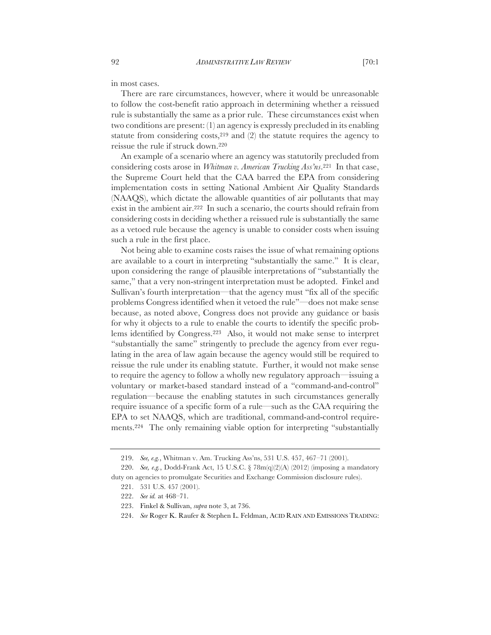in most cases.

There are rare circumstances, however, where it would be unreasonable to follow the cost-benefit ratio approach in determining whether a reissued rule is substantially the same as a prior rule. These circumstances exist when two conditions are present: (1) an agency is expressly precluded in its enabling statute from considering costs,  $2^{19}$  and (2) the statute requires the agency to reissue the rule if struck down.220

An example of a scenario where an agency was statutorily precluded from considering costs arose in *Whitman v. American Trucking Ass'ns*.221 In that case, the Supreme Court held that the CAA barred the EPA from considering implementation costs in setting National Ambient Air Quality Standards (NAAQS), which dictate the allowable quantities of air pollutants that may exist in the ambient air.222 In such a scenario, the courts should refrain from considering costs in deciding whether a reissued rule is substantially the same as a vetoed rule because the agency is unable to consider costs when issuing such a rule in the first place.

Not being able to examine costs raises the issue of what remaining options are available to a court in interpreting "substantially the same." It is clear, upon considering the range of plausible interpretations of "substantially the same," that a very non-stringent interpretation must be adopted. Finkel and Sullivan's fourth interpretation—that the agency must "fix all of the specific problems Congress identified when it vetoed the rule"—does not make sense because, as noted above, Congress does not provide any guidance or basis for why it objects to a rule to enable the courts to identify the specific problems identified by Congress.223 Also, it would not make sense to interpret "substantially the same" stringently to preclude the agency from ever regulating in the area of law again because the agency would still be required to reissue the rule under its enabling statute. Further, it would not make sense to require the agency to follow a wholly new regulatory approach—issuing a voluntary or market-based standard instead of a "command-and-control" regulation—because the enabling statutes in such circumstances generally require issuance of a specific form of a rule—such as the CAA requiring the EPA to set NAAQS, which are traditional, command-and-control requirements.224 The only remaining viable option for interpreting "substantially

<sup>219.</sup> *See, e.g.*, Whitman v. Am. Trucking Ass'ns, 531 U.S. 457, 467–71 (2001).

<sup>220.</sup> *See, e.g.*, Dodd-Frank Act, 15 U.S.C.  $\frac{8}{3}$  78m(q)(2)(A) (2012) (imposing a mandatory duty on agencies to promulgate Securities and Exchange Commission disclosure rules).

<sup>221.</sup> 531 U.S. 457 (2001).

<sup>222.</sup> *See id.* at 468–71.

<sup>223.</sup> Finkel & Sullivan, *supra* note 3, at 736.

<sup>224.</sup> *See* Roger K. Raufer & Stephen L. Feldman, ACID RAIN AND EMISSIONS TRADING: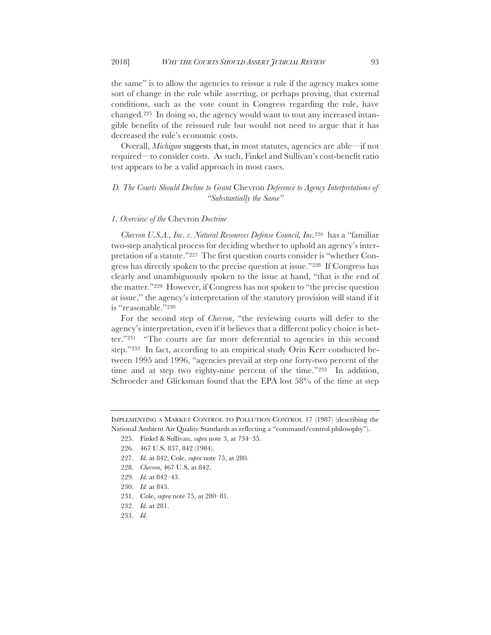the same" is to allow the agencies to reissue a rule if the agency makes some sort of change in the rule while asserting, or perhaps proving, that external conditions, such as the vote count in Congress regarding the rule, have changed.225 In doing so, the agency would want to tout any increased intangible benefits of the reissued rule but would not need to argue that it has decreased the rule's economic costs.

Overall, *Michigan* suggests that, in most statutes, agencies are able—if not required—to consider costs. As such, Finkel and Sullivan's cost-benefit ratio test appears to be a valid approach in most cases.

### *D. The Courts Should Decline to Grant* Chevron *Deference to Agency Interpretations of "Substantially the Same"*

#### *1. Overview of the* Chevron *Doctrine*

*Chevron U.S.A., Inc. v. Natural Resources Defense Council, Inc.*<sup>226</sup> has a "familiar two-step analytical process for deciding whether to uphold an agency's interpretation of a statute."227 The first question courts consider is "whether Congress has directly spoken to the precise question at issue."228 If Congress has clearly and unambiguously spoken to the issue at hand, "that is the end of the matter."229 However, if Congress has not spoken to "the precise question at issue," the agency's interpretation of the statutory provision will stand if it is "reasonable."230

For the second step of *Chevron*, "the reviewing courts will defer to the agency's interpretation, even if it believes that a different policy choice is better."231 "The courts are far more deferential to agencies in this second step."232 In fact, according to an empirical study Orin Kerr conducted between 1995 and 1996, "agencies prevail at step one forty-two percent of the time and at step two eighty-nine percent of the time."233 In addition, Schroeder and Glicksman found that the EPA lost 58% of the time at step

225. Finkel & Sullivan, *supra* note 3, at 734–35.

- 227. *Id.* at 842; Cole, *supra* note 75, at 280.
- 228. *Chevron*, 467 U.S. at 842.
- 229. *Id.* at 842–43.
- 230. *Id.* at 843.
- 231. Cole, *supra* note 75, at 280–81.
- 232. *Id.* at 281.
- 233. *Id.*

IMPLEMENTING A MARKET CONTROL TO POLLUTION CONTROL 17 (1987) (describing the National Ambient Air Quality Standards as reflecting a "command/control philosophy").

<sup>226.</sup> 467 U.S. 837, 842 (1984).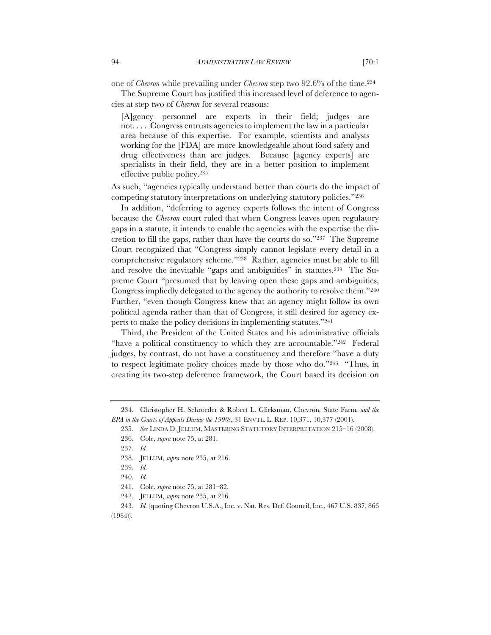one of *Chevron* while prevailing under *Chevron* step two 92.6% of the time.234

The Supreme Court has justified this increased level of deference to agencies at step two of *Chevron* for several reasons:

[A]gency personnel are experts in their field; judges are not. . . . Congress entrusts agencies to implement the law in a particular area because of this expertise. For example, scientists and analysts working for the [FDA] are more knowledgeable about food safety and drug effectiveness than are judges. Because [agency experts] are specialists in their field, they are in a better position to implement effective public policy.235

As such, "agencies typically understand better than courts do the impact of competing statutory interpretations on underlying statutory policies."236

In addition, "deferring to agency experts follows the intent of Congress because the *Chevron* court ruled that when Congress leaves open regulatory gaps in a statute, it intends to enable the agencies with the expertise the discretion to fill the gaps, rather than have the courts do so."237 The Supreme Court recognized that "Congress simply cannot legislate every detail in a comprehensive regulatory scheme."238 Rather, agencies must be able to fill and resolve the inevitable "gaps and ambiguities" in statutes.239 The Supreme Court "presumed that by leaving open these gaps and ambiguities, Congress impliedly delegated to the agency the authority to resolve them."240 Further, "even though Congress knew that an agency might follow its own political agenda rather than that of Congress, it still desired for agency experts to make the policy decisions in implementing statutes."241

Third, the President of the United States and his administrative officials "have a political constituency to which they are accountable."242 Federal judges, by contrast, do not have a constituency and therefore "have a duty to respect legitimate policy choices made by those who do."243 "Thus, in creating its two-step deference framework, the Court based its decision on

<sup>234.</sup> Christopher H. Schroeder & Robert L. Glicksman, Chevron*,* State Farm*, and the EPA in the Courts of Appeals During the 1990s*, 31 ENVTL. L. REP. 10,371, 10,377 (2001).

<sup>235.</sup> *See* LINDA D. JELLUM, MASTERING STATUTORY INTERPRETATION 215–16 (2008).

<sup>236.</sup> Cole, *supra* note 75, at 281.

<sup>237.</sup> *Id.*

<sup>238.</sup> JELLUM, *supra* note 235, at 216.

<sup>239.</sup> *Id.*

<sup>240.</sup> *Id.*

<sup>241.</sup> Cole, *supra* note 75, at 281–82.

<sup>242.</sup> JELLUM, *supra* note 235, at 216.

<sup>243.</sup> *Id.* (quoting Chevron U.S.A., Inc. v. Nat. Res. Def. Council, Inc., 467 U.S. 837, 866 (1984)).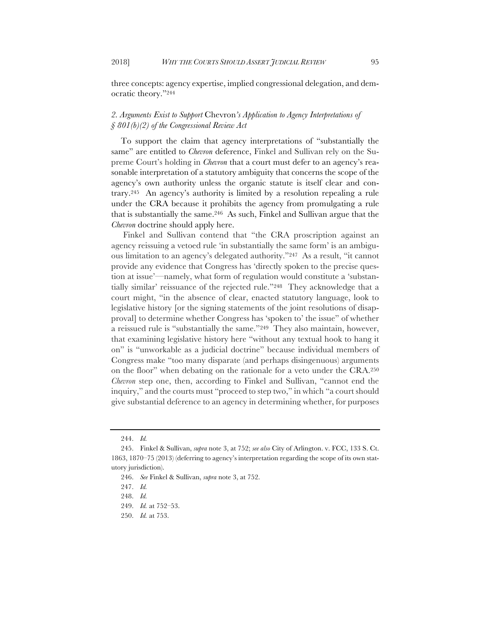three concepts: agency expertise, implied congressional delegation, and democratic theory."244

# *2. Arguments Exist to Support* Chevron*'s Application to Agency Interpretations of § 801(b)(2) of the Congressional Review Act*

To support the claim that agency interpretations of "substantially the same" are entitled to *Chevron* deference, Finkel and Sullivan rely on the Supreme Court's holding in *Chevron* that a court must defer to an agency's reasonable interpretation of a statutory ambiguity that concerns the scope of the agency's own authority unless the organic statute is itself clear and contrary.245 An agency's authority is limited by a resolution repealing a rule under the CRA because it prohibits the agency from promulgating a rule that is substantially the same.246 As such, Finkel and Sullivan argue that the *Chevron* doctrine should apply here.

Finkel and Sullivan contend that "the CRA proscription against an agency reissuing a vetoed rule 'in substantially the same form' is an ambiguous limitation to an agency's delegated authority."247 As a result, "it cannot provide any evidence that Congress has 'directly spoken to the precise question at issue'—namely, what form of regulation would constitute a 'substantially similar' reissuance of the rejected rule."248 They acknowledge that a court might, "in the absence of clear, enacted statutory language, look to legislative history [or the signing statements of the joint resolutions of disapproval] to determine whether Congress has 'spoken to' the issue" of whether a reissued rule is "substantially the same."249 They also maintain, however, that examining legislative history here "without any textual hook to hang it on" is "unworkable as a judicial doctrine" because individual members of Congress make "too many disparate (and perhaps disingenuous) arguments on the floor" when debating on the rationale for a veto under the CRA.250 *Chevron* step one, then, according to Finkel and Sullivan, "cannot end the inquiry," and the courts must "proceed to step two," in which "a court should give substantial deference to an agency in determining whether, for purposes

<sup>244.</sup> *Id.*

<sup>245.</sup> Finkel & Sullivan, *supra* note 3, at 752; *see also* City of Arlington. v. FCC, 133 S. Ct. 1863, 1870–75 (2013) (deferring to agency's interpretation regarding the scope of its own statutory jurisdiction).

<sup>246.</sup> *See* Finkel & Sullivan, *supra* note 3, at 752.

<sup>247.</sup> *Id.*

<sup>248.</sup> *Id.*

<sup>249.</sup> *Id.* at 752–53.

<sup>250.</sup> *Id.* at 753.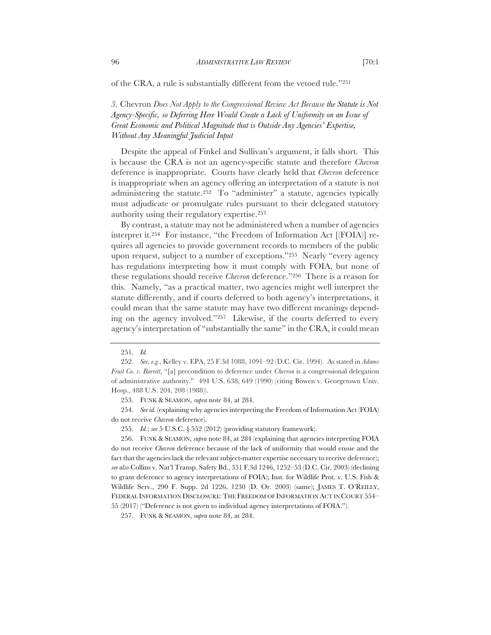of the CRA, a rule is substantially different from the vetoed rule."251

*3.* Chevron *Does Not Apply to the Congressional Review Act Because the Statute is Not Agency-Specific, so Deferring Here Would Create a Lack of Uniformity on an Issue of Great Economic and Political Magnitude that is Outside Any Agencies' Expertise, Without Any Meaningful Judicial Input*

Despite the appeal of Finkel and Sullivan's argument, it falls short. This is because the CRA is not an agency-specific statute and therefore *Chevron*  deference is inappropriate. Courts have clearly held that *Chevron* deference is inappropriate when an agency offering an interpretation of a statute is not administering the statute.<sup>252</sup> To "administer" a statute, agencies typically must adjudicate or promulgate rules pursuant to their delegated statutory authority using their regulatory expertise.253

By contrast, a statute may not be administered when a number of agencies interpret it.254 For instance, "the Freedom of Information Act [(FOIA)] requires all agencies to provide government records to members of the public upon request, subject to a number of exceptions."255 Nearly "every agency has regulations interpreting how it must comply with FOIA, but none of these regulations should receive *Chevron* deference."256 There is a reason for this. Namely, "as a practical matter, two agencies might well interpret the statute differently, and if courts deferred to both agency's interpretations, it could mean that the same statute may have two different meanings depending on the agency involved."257 Likewise, if the courts deferred to every agency's interpretation of "substantially the same" in the CRA, it could mean

254. *See id.* (explaining why agencies interpreting the Freedom of Information Act (FOIA) do not receive *Chevron* deference).

255. *Id.*; *see* 5 U.S.C. § 552 (2012) (providing statutory framework).

256. FUNK & SEAMON, *supra* note 84, at 284 (explaining that agencies interpreting FOIA do not receive *Chevron* deference because of the lack of uniformity that would ensue and the fact that the agencies lack the relevant subject-matter expertise necessary to receive deference); *see also* Collins v. Nat'l Transp. Safety Bd., 351 F.3d 1246, 1252–53 (D.C. Cir. 2003) (declining to grant deference to agency interpretations of FOIA); Inst. for Wildlife Prot. v. U.S. Fish & Wildlife Serv., 290 F. Supp. 2d 1226, 1230 (D. Or. 2003) (same); JAMES T. O'REILLY, FEDERAL INFORMATION DISCLOSURE: THE FREEDOM OF INFORMATION ACT IN COURT 554-55 (2017) ("Deference is not given to individual agency interpretations of FOIA.").

257. FUNK & SEAMON, *supra* note 84, at 284.

<sup>251.</sup> *Id.*

<sup>252.</sup> *See, e.g.*, Kelley v. EPA, 25 F.3d 1088, 1091–92 (D.C. Cir. 1994). As stated in *Adams Fruit Co. v. Barrett*, "[a] precondition to deference under *Chevron* is a congressional delegation of administrative authority." 494 U.S. 638, 649 (1990) (citing Bowen v. Georgetown Univ. Hosp., 488 U.S. 204, 208 (1988)).

<sup>253.</sup> FUNK & SEAMON, *supra* note 84, at 284.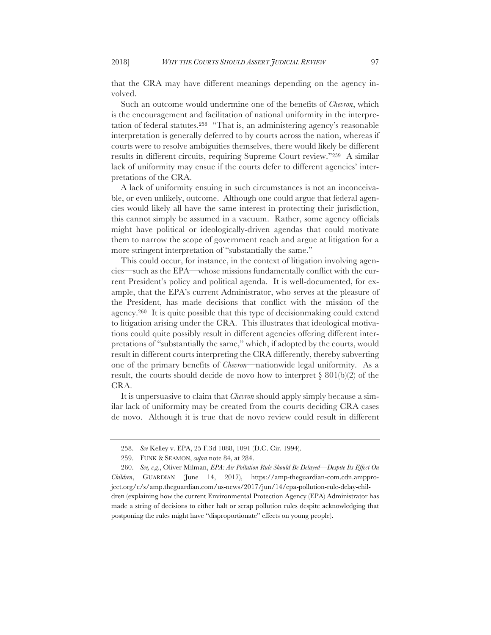that the CRA may have different meanings depending on the agency involved.

Such an outcome would undermine one of the benefits of *Chevron*, which is the encouragement and facilitation of national uniformity in the interpretation of federal statutes.258 "That is, an administering agency's reasonable interpretation is generally deferred to by courts across the nation, whereas if courts were to resolve ambiguities themselves, there would likely be different results in different circuits, requiring Supreme Court review."259 A similar lack of uniformity may ensue if the courts defer to different agencies' interpretations of the CRA.

A lack of uniformity ensuing in such circumstances is not an inconceivable, or even unlikely, outcome. Although one could argue that federal agencies would likely all have the same interest in protecting their jurisdiction, this cannot simply be assumed in a vacuum. Rather, some agency officials might have political or ideologically-driven agendas that could motivate them to narrow the scope of government reach and argue at litigation for a more stringent interpretation of "substantially the same."

This could occur, for instance, in the context of litigation involving agencies—such as the EPA—whose missions fundamentally conflict with the current President's policy and political agenda. It is well-documented, for example, that the EPA's current Administrator, who serves at the pleasure of the President, has made decisions that conflict with the mission of the agency.260 It is quite possible that this type of decisionmaking could extend to litigation arising under the CRA. This illustrates that ideological motivations could quite possibly result in different agencies offering different interpretations of "substantially the same," which, if adopted by the courts, would result in different courts interpreting the CRA differently, thereby subverting one of the primary benefits of *Chevron*—nationwide legal uniformity. As a result, the courts should decide de novo how to interpret  $\S 801(b)(2)$  of the CRA.

It is unpersuasive to claim that *Chevron* should apply simply because a similar lack of uniformity may be created from the courts deciding CRA cases de novo. Although it is true that de novo review could result in different

<sup>258.</sup> *See* Kelley v. EPA, 25 F.3d 1088, 1091 (D.C. Cir. 1994).

<sup>259.</sup> FUNK & SEAMON, *supra* note 84, at 284.

<sup>260.</sup> *See, e.g.*, Oliver Milman, *EPA: Air Pollution Rule Should Be Delayed––Despite Its Effect On Children*, GUARDIAN (June 14, 2017), https://amp-theguardian-com.cdn.ampproject.org/c/s/amp.theguardian.com/us-news/2017/jun/14/epa-pollution-rule-delay-children (explaining how the current Environmental Protection Agency (EPA) Administrator has made a string of decisions to either halt or scrap pollution rules despite acknowledging that postponing the rules might have "disproportionate" effects on young people).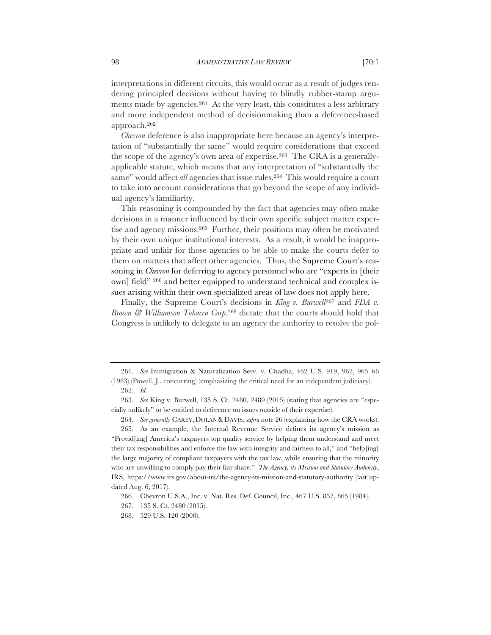interpretations in different circuits, this would occur as a result of judges rendering principled decisions without having to blindly rubber-stamp arguments made by agencies.261 At the very least, this constitutes a less arbitrary and more independent method of decisionmaking than a deference-based approach.262

*Chevron* deference is also inappropriate here because an agency's interpretation of "substantially the same" would require considerations that exceed the scope of the agency's own area of expertise.263 The CRA is a generallyapplicable statute, which means that any interpretation of "substantially the same" would affect *all* agencies that issue rules.<sup>264</sup> This would require a court to take into account considerations that go beyond the scope of any individual agency's familiarity.

This reasoning is compounded by the fact that agencies may often make decisions in a manner influenced by their own specific subject matter expertise and agency missions.265 Further, their positions may often be motivated by their own unique institutional interests. As a result, it would be inappropriate and unfair for those agencies to be able to make the courts defer to them on matters that affect other agencies. Thus, the Supreme Court's reasoning in *Chevron* for deferring to agency personnel who are "experts in [their own] field" 266 and better equipped to understand technical and complex issues arising within their own specialized areas of law does not apply here.

Finally, the Supreme Court's decisions in *King v. Burwell*<sup>267</sup> and *FDA v. Brown & Williamson Tobacco Corp.*<sup>268</sup> dictate that the courts should hold that Congress is unlikely to delegate to an agency the authority to resolve the pol-

<sup>261.</sup> *See* Immigration & Naturalization Serv. v. Chadha, 462 U.S. 919, 962, 965–66 (1983) (Powell, J., concurring) (emphasizing the critical need for an independent judiciary). 262. *Id.*

<sup>263.</sup> *See* King v. Burwell, 135 S. Ct. 2480, 2489 (2015) (stating that agencies are "especially unlikely" to be entitled to deference on issues outside of their expertise).

<sup>264.</sup> *See generally* CAREY, DOLAN & DAVIS, *supra* note 26 (explaining how the CRA works).

<sup>265.</sup> As an example, the Internal Revenue Service defines its agency's mission as "Provid[ing] America's taxpayers top quality service by helping them understand and meet their tax responsibilities and enforce the law with integrity and fairness to all," and "help[ing] the large majority of compliant taxpayers with the tax law, while ensuring that the minority who are unwilling to comply pay their fair share." *The Agency, its Mission and Statutory Authority*, IRS, https://www.irs.gov/about-irs/the-agency-its-mission-and-statutory-authority (last updated Aug. 6, 2017).

<sup>266.</sup> Chevron U.S.A., Inc. v. Nat. Res. Def. Council, Inc., 467 U.S. 837, 865 (1984).

<sup>267.</sup> 135 S. Ct. 2480 (2015).

<sup>268.</sup> 529 U.S. 120 (2000).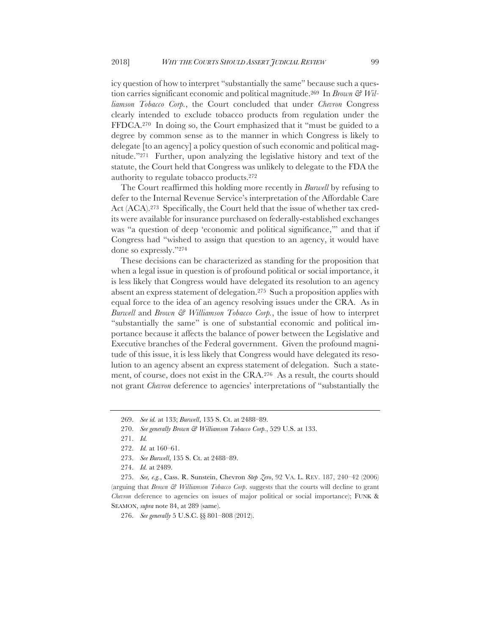icy question of how to interpret "substantially the same" because such a question carries significant economic and political magnitude.269 In *Brown & Williamson Tobacco Corp.*, the Court concluded that under *Chevron* Congress clearly intended to exclude tobacco products from regulation under the FFDCA.270 In doing so, the Court emphasized that it "must be guided to a degree by common sense as to the manner in which Congress is likely to delegate [to an agency] a policy question of such economic and political magnitude."271 Further, upon analyzing the legislative history and text of the statute, the Court held that Congress was unlikely to delegate to the FDA the authority to regulate tobacco products.272

The Court reaffirmed this holding more recently in *Burwell* by refusing to defer to the Internal Revenue Service's interpretation of the Affordable Care Act (ACA).273 Specifically, the Court held that the issue of whether tax credits were available for insurance purchased on federally-established exchanges was "a question of deep 'economic and political significance,'" and that if Congress had "wished to assign that question to an agency, it would have done so expressly."274

These decisions can be characterized as standing for the proposition that when a legal issue in question is of profound political or social importance, it is less likely that Congress would have delegated its resolution to an agency absent an express statement of delegation.275 Such a proposition applies with equal force to the idea of an agency resolving issues under the CRA. As in *Burwell* and *Brown & Williamson Tobacco Corp.*, the issue of how to interpret "substantially the same" is one of substantial economic and political importance because it affects the balance of power between the Legislative and Executive branches of the Federal government. Given the profound magnitude of this issue, it is less likely that Congress would have delegated its resolution to an agency absent an express statement of delegation. Such a statement, of course, does not exist in the CRA.276 As a result, the courts should not grant *Chevron* deference to agencies' interpretations of "substantially the

<sup>269.</sup> *See id.* at 133; *Burwell*, 135 S. Ct. at 2488–89.

<sup>270.</sup> *See generally Brown & Williamson Tobacco Corp.*, 529 U.S. at 133.

<sup>271.</sup> *Id.* 

<sup>272.</sup> *Id.* at 160–61.

<sup>273.</sup> *See Burwell*, 135 S. Ct. at 2488–89.

<sup>274.</sup> *Id.* at 2489.

<sup>275.</sup> *See, e.g.*, Cass. R. Sunstein, Chevron *Step Zero*, 92 VA. L. REV. 187, 240–42 (2006) (arguing that *Brown & Williamson Tobacco Corp*. suggests that the courts will decline to grant *Chevron* deference to agencies on issues of major political or social importance); FUNK & SEAMON, *supra* note 84, at 289 (same).

<sup>276.</sup> *See generally* 5 U.S.C. §§ 801–808 (2012).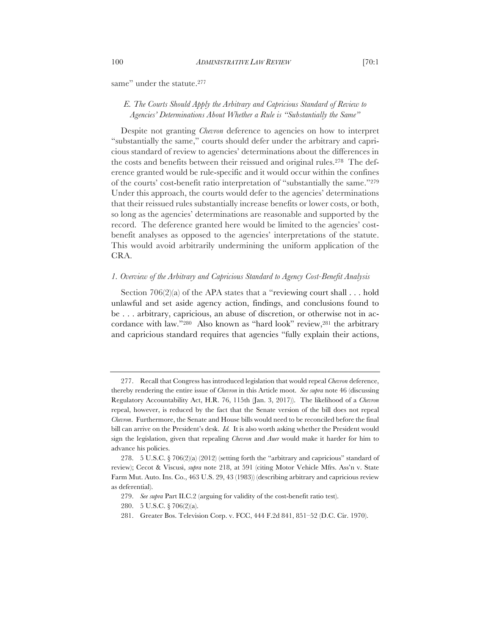same" under the statute.<sup>277</sup>

### *E. The Courts Should Apply the Arbitrary and Capricious Standard of Review to Agencies' Determinations About Whether a Rule is "Substantially the Same"*

Despite not granting *Chevron* deference to agencies on how to interpret "substantially the same," courts should defer under the arbitrary and capricious standard of review to agencies' determinations about the differences in the costs and benefits between their reissued and original rules.278 The deference granted would be rule-specific and it would occur within the confines of the courts' cost-benefit ratio interpretation of "substantially the same."279 Under this approach, the courts would defer to the agencies' determinations that their reissued rules substantially increase benefits or lower costs, or both, so long as the agencies' determinations are reasonable and supported by the record. The deference granted here would be limited to the agencies' costbenefit analyses as opposed to the agencies' interpretations of the statute. This would avoid arbitrarily undermining the uniform application of the CRA.

#### *1. Overview of the Arbitrary and Capricious Standard to Agency Cost-Benefit Analysis*

Section  $706(2)(a)$  of the APA states that a "reviewing court shall . . . hold unlawful and set aside agency action, findings, and conclusions found to be . . . arbitrary, capricious, an abuse of discretion, or otherwise not in accordance with law."280 Also known as "hard look" review,281 the arbitrary and capricious standard requires that agencies "fully explain their actions,

<sup>277.</sup> Recall that Congress has introduced legislation that would repeal *Chevron* deference, thereby rendering the entire issue of *Chevron* in this Article moot. *See supra* note 46 (discussing Regulatory Accountability Act, H.R. 76, 115th (Jan. 3, 2017)). The likelihood of a *Chevron*  repeal, however, is reduced by the fact that the Senate version of the bill does not repeal *Chevron*. Furthermore, the Senate and House bills would need to be reconciled before the final bill can arrive on the President's desk. *Id.* It is also worth asking whether the President would sign the legislation, given that repealing *Chevron* and *Auer* would make it harder for him to advance his policies.

<sup>278.</sup> 5 U.S.C. § 706(2)(a) (2012) (setting forth the "arbitrary and capricious" standard of review); Cecot & Viscusi, *supra* note 218, at 591 (citing Motor Vehicle Mfrs. Ass'n v. State Farm Mut. Auto. Ins. Co., 463 U.S. 29, 43 (1983)) (describing arbitrary and capricious review as deferential).

<sup>279.</sup> *See supra* Part II.C.2 (arguing for validity of the cost-benefit ratio test).

<sup>280.</sup> 5 U.S.C. § 706(2)(a).

<sup>281.</sup> Greater Bos. Television Corp. v. FCC, 444 F.2d 841, 851–52 (D.C. Cir. 1970).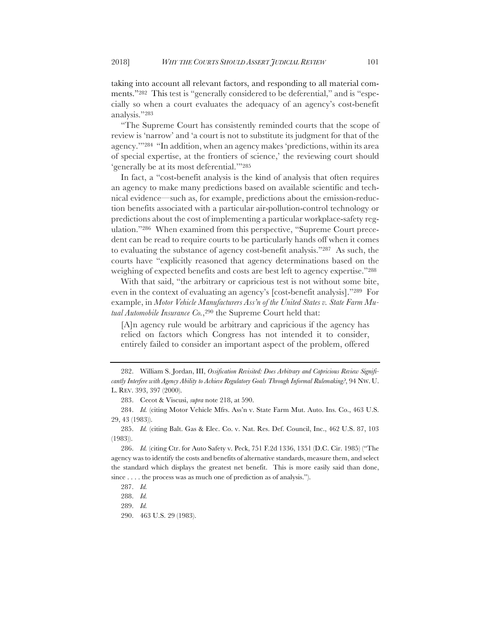taking into account all relevant factors, and responding to all material comments."282 This test is "generally considered to be deferential," and is "especially so when a court evaluates the adequacy of an agency's cost-benefit analysis."283

"The Supreme Court has consistently reminded courts that the scope of review is 'narrow' and 'a court is not to substitute its judgment for that of the agency.'"284 "In addition, when an agency makes 'predictions, within its area of special expertise, at the frontiers of science,' the reviewing court should 'generally be at its most deferential.'"285

In fact, a "cost-benefit analysis is the kind of analysis that often requires an agency to make many predictions based on available scientific and technical evidence—such as, for example, predictions about the emission-reduction benefits associated with a particular air-pollution-control technology or predictions about the cost of implementing a particular workplace-safety regulation."286 When examined from this perspective, "Supreme Court precedent can be read to require courts to be particularly hands off when it comes to evaluating the substance of agency cost-benefit analysis."287 As such, the courts have "explicitly reasoned that agency determinations based on the weighing of expected benefits and costs are best left to agency expertise."288

With that said, "the arbitrary or capricious test is not without some bite, even in the context of evaluating an agency's [cost-benefit analysis]."289 For example, in *Motor Vehicle Manufacturers Ass'n of the United States v. State Farm Mutual Automobile Insurance Co.*,290 the Supreme Court held that:

[A]n agency rule would be arbitrary and capricious if the agency has relied on factors which Congress has not intended it to consider, entirely failed to consider an important aspect of the problem, offered

290. 463 U.S. 29 (1983).

<sup>282.</sup> William S. Jordan, III, *Ossification Revisited: Does Arbitrary and Capricious Review Significantly Interfere with Agency Ability to Achieve Regulatory Goals Through Informal Rulemaking?*, 94 NW. U. L. REV. 393, 397 (2000).

<sup>283.</sup> Cecot & Viscusi, *supra* note 218, at 590.

<sup>284.</sup> *Id.* (citing Motor Vehicle Mfrs. Ass'n v. State Farm Mut. Auto. Ins. Co., 463 U.S. 29, 43 (1983)).

<sup>285.</sup> *Id.* (citing Balt. Gas & Elec. Co. v. Nat. Res. Def. Council, Inc., 462 U.S. 87, 103 (1983)).

<sup>286.</sup> *Id.* (citing Ctr. for Auto Safety v. Peck, 751 F.2d 1336, 1351 (D.C. Cir. 1985) ("The agency was to identify the costs and benefits of alternative standards, measure them, and select the standard which displays the greatest net benefit. This is more easily said than done, since . . . . the process was as much one of prediction as of analysis.").

<sup>287.</sup> *Id.*

<sup>288.</sup> *Id.*

<sup>289.</sup> *Id.*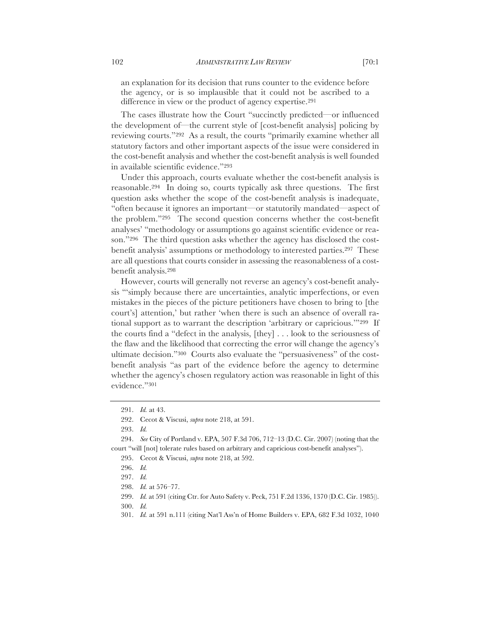an explanation for its decision that runs counter to the evidence before the agency, or is so implausible that it could not be ascribed to a difference in view or the product of agency expertise.291

The cases illustrate how the Court "succinctly predicted—or influenced the development of—the current style of [cost-benefit analysis] policing by reviewing courts."292 As a result, the courts "primarily examine whether all statutory factors and other important aspects of the issue were considered in the cost-benefit analysis and whether the cost-benefit analysis is well founded in available scientific evidence."293

Under this approach, courts evaluate whether the cost-benefit analysis is reasonable.294 In doing so, courts typically ask three questions. The first question asks whether the scope of the cost-benefit analysis is inadequate, "often because it ignores an important—or statutorily mandated—aspect of the problem."295 The second question concerns whether the cost-benefit analyses' "methodology or assumptions go against scientific evidence or reason."296 The third question asks whether the agency has disclosed the costbenefit analysis' assumptions or methodology to interested parties.297 These are all questions that courts consider in assessing the reasonableness of a costbenefit analysis.298

However, courts will generally not reverse an agency's cost-benefit analysis "'simply because there are uncertainties, analytic imperfections, or even mistakes in the pieces of the picture petitioners have chosen to bring to [the court's] attention,' but rather 'when there is such an absence of overall rational support as to warrant the description 'arbitrary or capricious.'"299 If the courts find a "defect in the analysis, [they] . . . look to the seriousness of the flaw and the likelihood that correcting the error will change the agency's ultimate decision."300 Courts also evaluate the "persuasiveness" of the costbenefit analysis "as part of the evidence before the agency to determine whether the agency's chosen regulatory action was reasonable in light of this evidence."301

<sup>291.</sup> *Id.* at 43.

<sup>292.</sup> Cecot & Viscusi, *supra* note 218, at 591.

<sup>293.</sup> *Id.*

<sup>294.</sup> *See* City of Portland v. EPA, 507 F.3d 706, 712–13 (D.C. Cir. 2007) (noting that the court "will [not] tolerate rules based on arbitrary and capricious cost-benefit analyses").

<sup>295.</sup> Cecot & Viscusi, *supra* note 218, at 592.

<sup>296.</sup> *Id.*

<sup>297.</sup> *Id.*

<sup>298.</sup> *Id.* at 576–77.

<sup>299.</sup> *Id.* at 591 (citing Ctr. for Auto Safety v. Peck, 751 F.2d 1336, 1370 (D.C. Cir. 1985)).

<sup>300.</sup> *Id.*

<sup>301.</sup> *Id.* at 591 n.111 (citing Nat'l Ass'n of Home Builders v. EPA, 682 F.3d 1032, 1040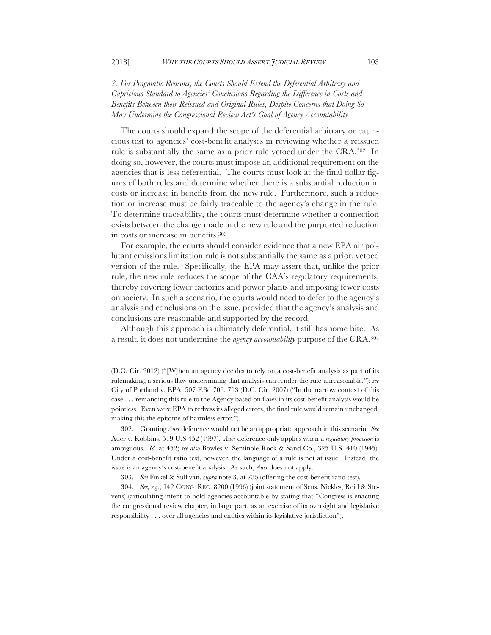*2. For Pragmatic Reasons, the Courts Should Extend the Deferential Arbitrary and Capricious Standard to Agencies' Conclusions Regarding the Difference in Costs and Benefits Between their Reissued and Original Rules, Despite Concerns that Doing So May Undermine the Congressional Review Act's Goal of Agency Accountability*

The courts should expand the scope of the deferential arbitrary or capricious test to agencies' cost-benefit analyses in reviewing whether a reissued rule is substantially the same as a prior rule vetoed under the CRA.302 In doing so, however, the courts must impose an additional requirement on the agencies that is less deferential. The courts must look at the final dollar figures of both rules and determine whether there is a substantial reduction in costs or increase in benefits from the new rule. Furthermore, such a reduction or increase must be fairly traceable to the agency's change in the rule. To determine traceability, the courts must determine whether a connection exists between the change made in the new rule and the purported reduction in costs or increase in benefits.303

For example, the courts should consider evidence that a new EPA air pollutant emissions limitation rule is not substantially the same as a prior, vetoed version of the rule. Specifically, the EPA may assert that, unlike the prior rule, the new rule reduces the scope of the CAA's regulatory requirements, thereby covering fewer factories and power plants and imposing fewer costs on society. In such a scenario, the courts would need to defer to the agency's analysis and conclusions on the issue, provided that the agency's analysis and conclusions are reasonable and supported by the record.

Although this approach is ultimately deferential, it still has some bite. As a result, it does not undermine the *agency accountability* purpose of the CRA.304

<sup>(</sup>D.C. Cir. 2012) ("[W]hen an agency decides to rely on a cost-benefit analysis as part of its rulemaking, a serious flaw undermining that analysis can render the rule unreasonable."); *see*  City of Portland v. EPA, 507 F.3d 706, 713 (D.C. Cir. 2007) ("In the narrow context of this case . . . remanding this rule to the Agency based on flaws in its cost-benefit analysis would be pointless. Even were EPA to redress its alleged errors, the final rule would remain unchanged, making this the epitome of harmless error.").

<sup>302.</sup> Granting *Auer* deference would not be an appropriate approach in this scenario. *See*  Auer v. Robbins, 519 U.S 452 (1997). *Auer* deference only applies when a *regulatory provision* is ambiguous. *Id.* at 452; *see also* Bowles v. Seminole Rock & Sand Co*.*, 325 U.S. 410 (1945). Under a cost-benefit ratio test, however, the language of a rule is not at issue. Instead, the issue is an agency's cost-benefit analysis. As such, *Auer* does not apply.

<sup>303.</sup> *See* Finkel & Sullivan, s*upra* note 3, at 735 (offering the cost-benefit ratio test).

<sup>304.</sup> *See, e.g.*, 142 CONG. REC. 8200 (1996) (joint statement of Sens. Nickles, Reid & Stevens) (articulating intent to hold agencies accountable by stating that "Congress is enacting the congressional review chapter, in large part, as an exercise of its oversight and legislative responsibility . . . over all agencies and entities within its legislative jurisdiction").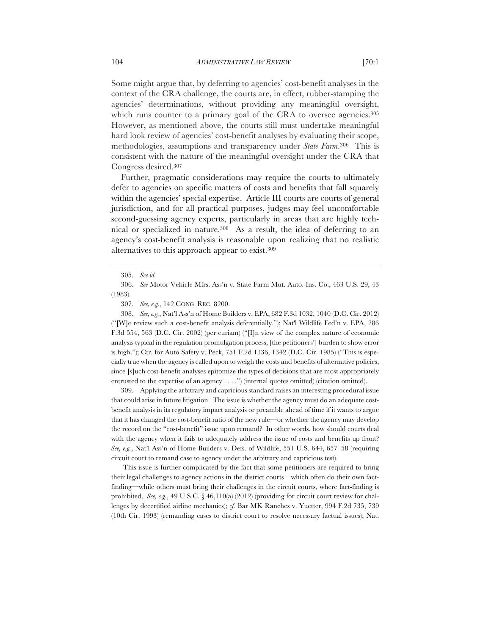Some might argue that, by deferring to agencies' cost-benefit analyses in the context of the CRA challenge, the courts are, in effect, rubber-stamping the agencies' determinations, without providing any meaningful oversight, which runs counter to a primary goal of the CRA to oversee agencies.<sup>305</sup> However, as mentioned above, the courts still must undertake meaningful hard look review of agencies' cost-benefit analyses by evaluating their scope, methodologies, assumptions and transparency under *State Farm*.306 This is consistent with the nature of the meaningful oversight under the CRA that Congress desired.307

Further, pragmatic considerations may require the courts to ultimately defer to agencies on specific matters of costs and benefits that fall squarely within the agencies' special expertise. Article III courts are courts of general jurisdiction, and for all practical purposes, judges may feel uncomfortable second-guessing agency experts, particularly in areas that are highly technical or specialized in nature.308 As a result, the idea of deferring to an agency's cost-benefit analysis is reasonable upon realizing that no realistic alternatives to this approach appear to exist.309

308. *See, e.g.*, Nat'l Ass'n of Home Builders v. EPA, 682 F.3d 1032, 1040 (D.C. Cir. 2012) ("[W]e review such a cost-benefit analysis deferentially."); Nat'l Wildlife Fed'n v. EPA, 286 F.3d 554, 563 (D.C. Cir. 2002) (per curiam) ("[I]n view of the complex nature of economic analysis typical in the regulation promulgation process, [the petitioners'] burden to show error is high."); Ctr. for Auto Safety v. Peck, 751 F.2d 1336, 1342 (D.C. Cir. 1985) ("This is especially true when the agency is called upon to weigh the costs and benefits of alternative policies, since [s]uch cost-benefit analyses epitomize the types of decisions that are most appropriately entrusted to the expertise of an agency  $\dots$ ") (internal quotes omitted) (citation omitted).

309. Applying the arbitrary and capricious standard raises an interesting procedural issue that could arise in future litigation. The issue is whether the agency must do an adequate costbenefit analysis in its regulatory impact analysis or preamble ahead of time if it wants to argue that it has changed the cost-benefit ratio of the new rule—or whether the agency may develop the record on the "cost-benefit" issue upon remand? In other words, how should courts deal with the agency when it fails to adequately address the issue of costs and benefits up front? *See, e.g.*, Nat'l Ass'n of Home Builders v. Defs. of Wildlife, 551 U.S. 644, 657–58 (requiring circuit court to remand case to agency under the arbitrary and capricious test).

This issue is further complicated by the fact that some petitioners are required to bring their legal challenges to agency actions in the district courts—which often do their own factfinding—while others must bring their challenges in the circuit courts, where fact-finding is prohibited. *See, e.g.*, 49 U.S.C.  $\S$  46,110(a) (2012) (providing for circuit court review for challenges by decertified airline mechanics); *cf.* Bar MK Ranches v. Yuetter, 994 F.2d 735, 739 (10th Cir. 1993) (remanding cases to district court to resolve necessary factual issues); Nat.

<sup>305.</sup> *See id.*

<sup>306.</sup> *See* Motor Vehicle Mfrs. Ass'n v. State Farm Mut. Auto. Ins. Co., 463 U.S. 29, 43 (1983).

<sup>307.</sup> *See, e.g.*, 142 CONG. REC. 8200.